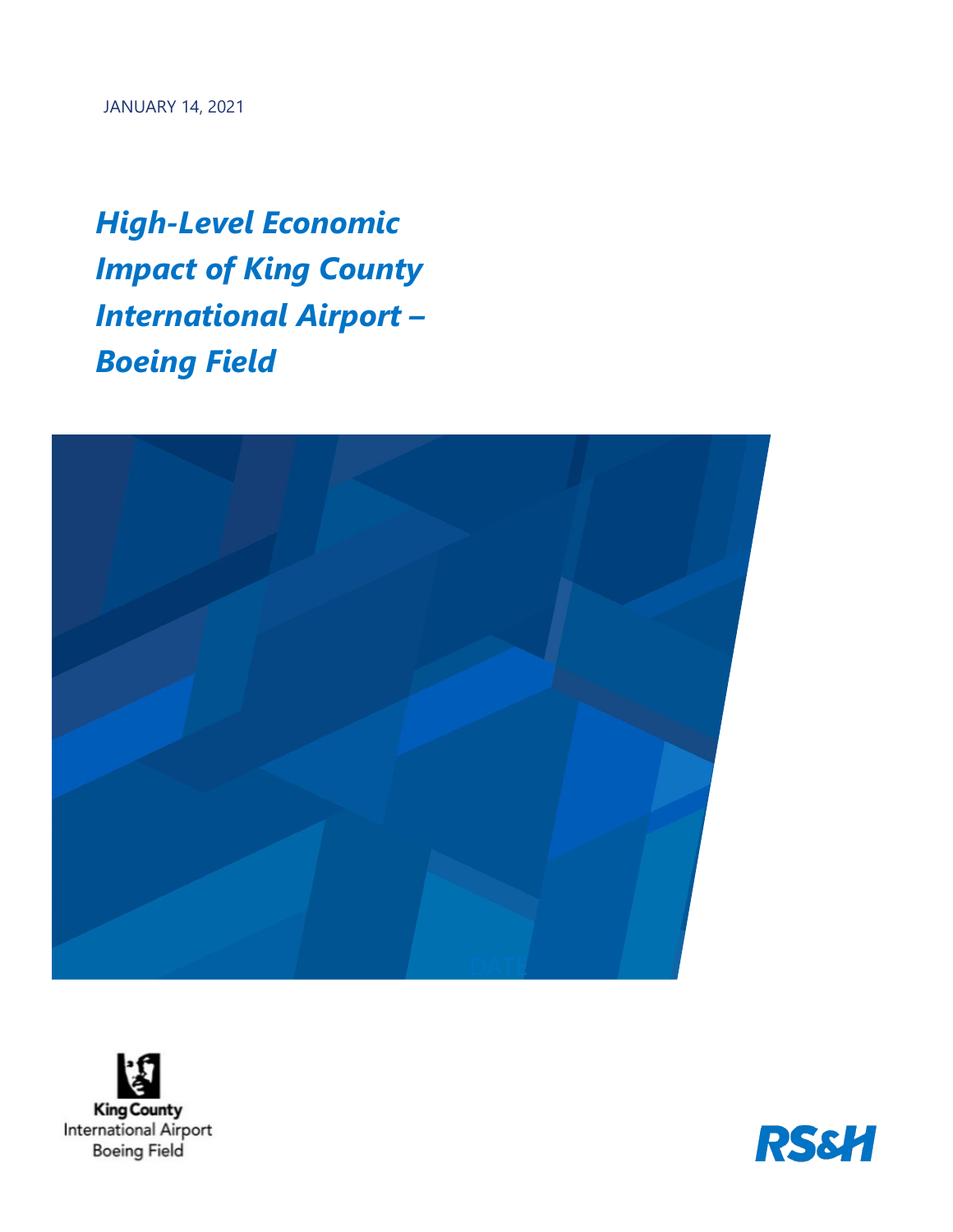*High-Level Economic Impact of King County International Airport – Boeing Field* 





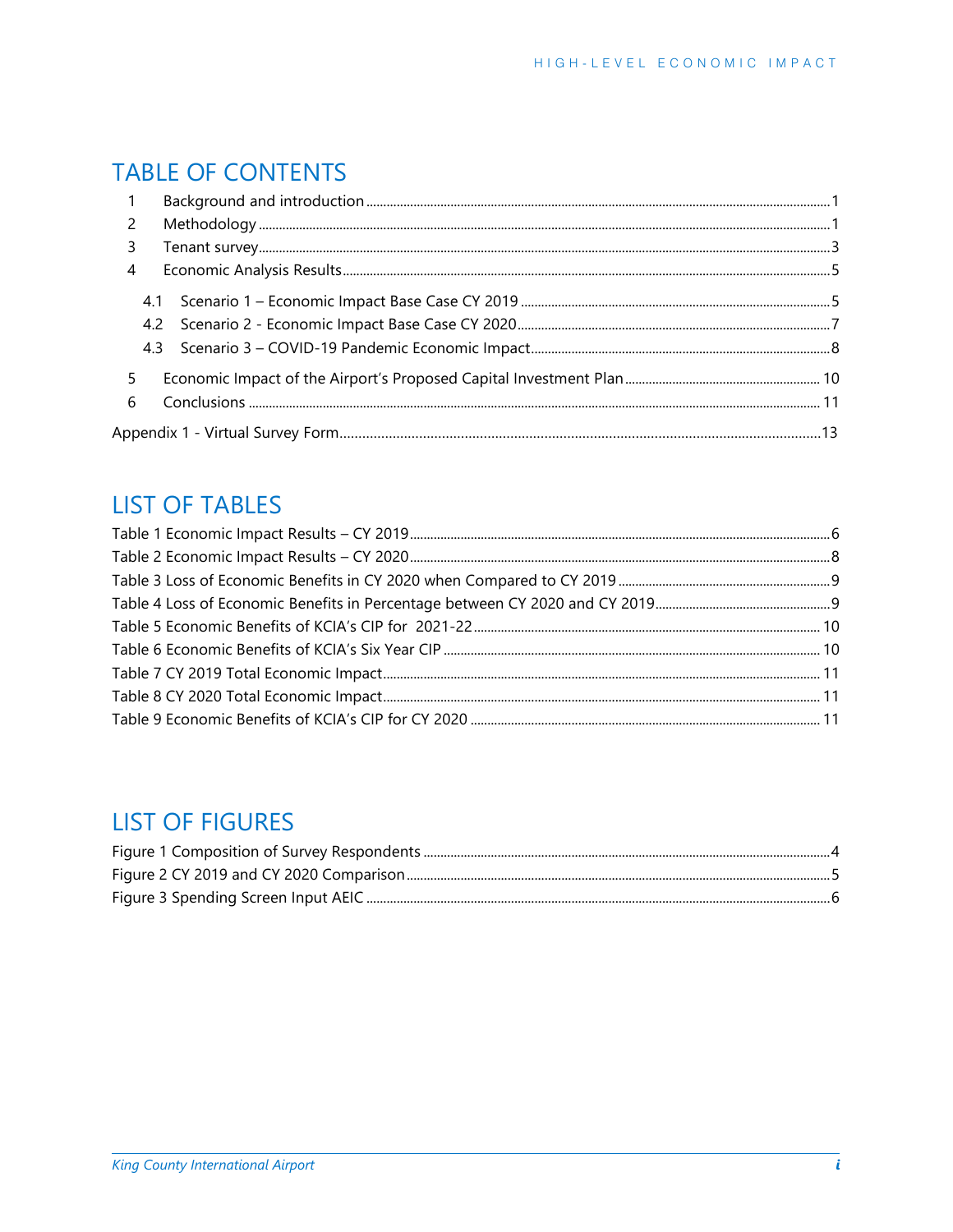# **TABLE OF CONTENTS**

| 2   |  |
|-----|--|
| 3   |  |
| 4   |  |
|     |  |
| 4.2 |  |
|     |  |
| 5   |  |
| 6   |  |
|     |  |
|     |  |

# **LIST OF TABLES**

# **LIST OF FIGURES**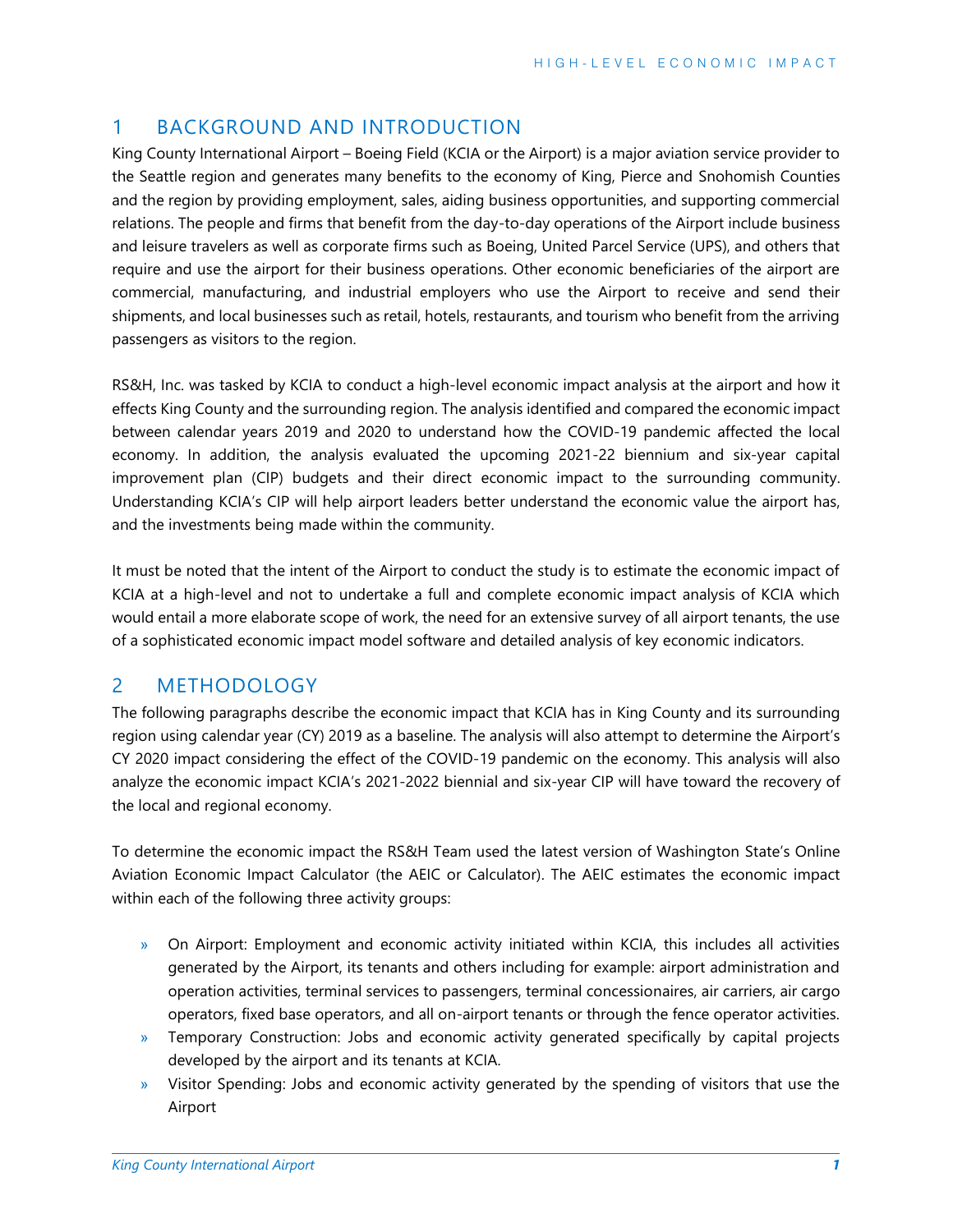## <span id="page-2-0"></span>1 BACKGROUND AND INTRODUCTION

King County International Airport – Boeing Field (KCIA or the Airport) is a major aviation service provider to the Seattle region and generates many benefits to the economy of King, Pierce and Snohomish Counties and the region by providing employment, sales, aiding business opportunities, and supporting commercial relations. The people and firms that benefit from the day-to-day operations of the Airport include business and leisure travelers as well as corporate firms such as Boeing, United Parcel Service (UPS), and others that require and use the airport for their business operations. Other economic beneficiaries of the airport are commercial, manufacturing, and industrial employers who use the Airport to receive and send their shipments, and local businesses such as retail, hotels, restaurants, and tourism who benefit from the arriving passengers as visitors to the region.

RS&H, Inc. was tasked by KCIA to conduct a high-level economic impact analysis at the airport and how it effects King County and the surrounding region. The analysis identified and compared the economic impact between calendar years 2019 and 2020 to understand how the COVID-19 pandemic affected the local economy. In addition, the analysis evaluated the upcoming 2021-22 biennium and six-year capital improvement plan (CIP) budgets and their direct economic impact to the surrounding community. Understanding KCIA's CIP will help airport leaders better understand the economic value the airport has, and the investments being made within the community.

It must be noted that the intent of the Airport to conduct the study is to estimate the economic impact of KCIA at a high-level and not to undertake a full and complete economic impact analysis of KCIA which would entail a more elaborate scope of work, the need for an extensive survey of all airport tenants, the use of a sophisticated economic impact model software and detailed analysis of key economic indicators.

## <span id="page-2-1"></span>2 METHODOLOGY

The following paragraphs describe the economic impact that KCIA has in King County and its surrounding region using calendar year (CY) 2019 as a baseline. The analysis will also attempt to determine the Airport's CY 2020 impact considering the effect of the COVID-19 pandemic on the economy. This analysis will also analyze the economic impact KCIA's 2021-2022 biennial and six-year CIP will have toward the recovery of the local and regional economy.

To determine the economic impact the RS&H Team used the latest version of Washington State's Online Aviation Economic Impact Calculator (the AEIC or Calculator). The AEIC estimates the economic impact within each of the following three activity groups:

- » On Airport: Employment and economic activity initiated within KCIA, this includes all activities generated by the Airport, its tenants and others including for example: airport administration and operation activities, terminal services to passengers, terminal concessionaires, air carriers, air cargo operators, fixed base operators, and all on-airport tenants or through the fence operator activities.
- » Temporary Construction: Jobs and economic activity generated specifically by capital projects developed by the airport and its tenants at KCIA.
- » Visitor Spending: Jobs and economic activity generated by the spending of visitors that use the Airport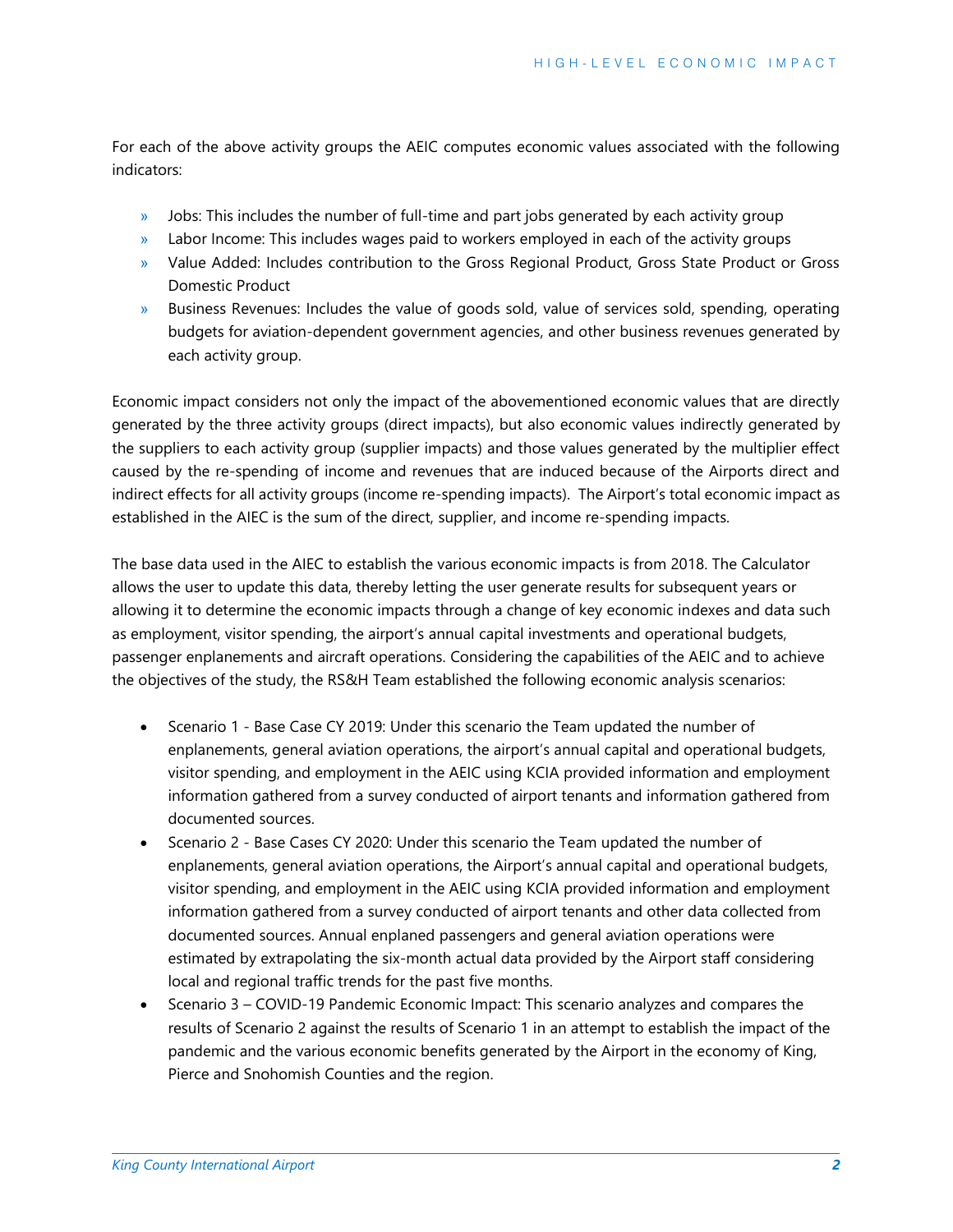For each of the above activity groups the AEIC computes economic values associated with the following indicators:

- » Jobs: This includes the number of full-time and part jobs generated by each activity group
- » Labor Income: This includes wages paid to workers employed in each of the activity groups
- » Value Added: Includes contribution to the Gross Regional Product, Gross State Product or Gross Domestic Product
- » Business Revenues: Includes the value of goods sold, value of services sold, spending, operating budgets for aviation-dependent government agencies, and other business revenues generated by each activity group.

Economic impact considers not only the impact of the abovementioned economic values that are directly generated by the three activity groups (direct impacts), but also economic values indirectly generated by the suppliers to each activity group (supplier impacts) and those values generated by the multiplier effect caused by the re-spending of income and revenues that are induced because of the Airports direct and indirect effects for all activity groups (income re-spending impacts). The Airport's total economic impact as established in the AIEC is the sum of the direct, supplier, and income re-spending impacts.

The base data used in the AIEC to establish the various economic impacts is from 2018. The Calculator allows the user to update this data, thereby letting the user generate results for subsequent years or allowing it to determine the economic impacts through a change of key economic indexes and data such as employment, visitor spending, the airport's annual capital investments and operational budgets, passenger enplanements and aircraft operations. Considering the capabilities of the AEIC and to achieve the objectives of the study, the RS&H Team established the following economic analysis scenarios:

- Scenario 1 Base Case CY 2019: Under this scenario the Team updated the number of enplanements, general aviation operations, the airport's annual capital and operational budgets, visitor spending, and employment in the AEIC using KCIA provided information and employment information gathered from a survey conducted of airport tenants and information gathered from documented sources.
- Scenario 2 Base Cases CY 2020: Under this scenario the Team updated the number of enplanements, general aviation operations, the Airport's annual capital and operational budgets, visitor spending, and employment in the AEIC using KCIA provided information and employment information gathered from a survey conducted of airport tenants and other data collected from documented sources. Annual enplaned passengers and general aviation operations were estimated by extrapolating the six-month actual data provided by the Airport staff considering local and regional traffic trends for the past five months.
- Scenario 3 COVID-19 Pandemic Economic Impact: This scenario analyzes and compares the results of Scenario 2 against the results of Scenario 1 in an attempt to establish the impact of the pandemic and the various economic benefits generated by the Airport in the economy of King, Pierce and Snohomish Counties and the region.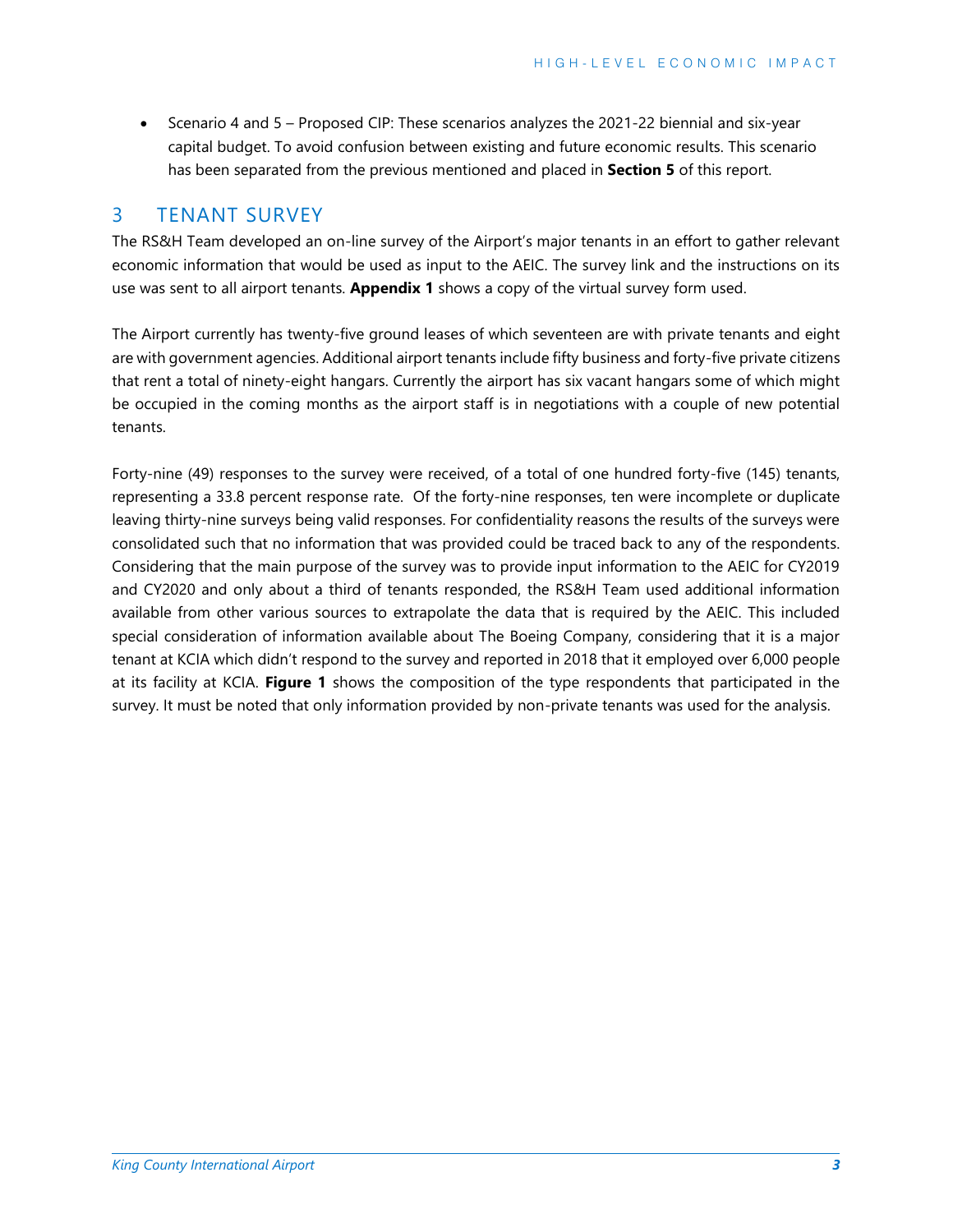• Scenario 4 and 5 – Proposed CIP: These scenarios analyzes the 2021-22 biennial and six-year capital budget. To avoid confusion between existing and future economic results. This scenario has been separated from the previous mentioned and placed in **Section 5** of this report.

## <span id="page-4-0"></span>3 TENANT SURVEY

The RS&H Team developed an on-line survey of the Airport's major tenants in an effort to gather relevant economic information that would be used as input to the AEIC. The survey link and the instructions on its use was sent to all airport tenants. **Appendix 1** shows a copy of the virtual survey form used.

The Airport currently has twenty-five ground leases of which seventeen are with private tenants and eight are with government agencies. Additional airport tenants include fifty business and forty-five private citizens that rent a total of ninety-eight hangars. Currently the airport has six vacant hangars some of which might be occupied in the coming months as the airport staff is in negotiations with a couple of new potential tenants.

Forty-nine (49) responses to the survey were received, of a total of one hundred forty-five (145) tenants, representing a 33.8 percent response rate. Of the forty-nine responses, ten were incomplete or duplicate leaving thirty-nine surveys being valid responses. For confidentiality reasons the results of the surveys were consolidated such that no information that was provided could be traced back to any of the respondents. Considering that the main purpose of the survey was to provide input information to the AEIC for CY2019 and CY2020 and only about a third of tenants responded, the RS&H Team used additional information available from other various sources to extrapolate the data that is required by the AEIC. This included special consideration of information available about The Boeing Company, considering that it is a major tenant at KCIA which didn't respond to the survey and reported in 2018 that it employed over 6,000 people at its facility at KCIA. **Figure 1** shows the composition of the type respondents that participated in the survey. It must be noted that only information provided by non-private tenants was used for the analysis.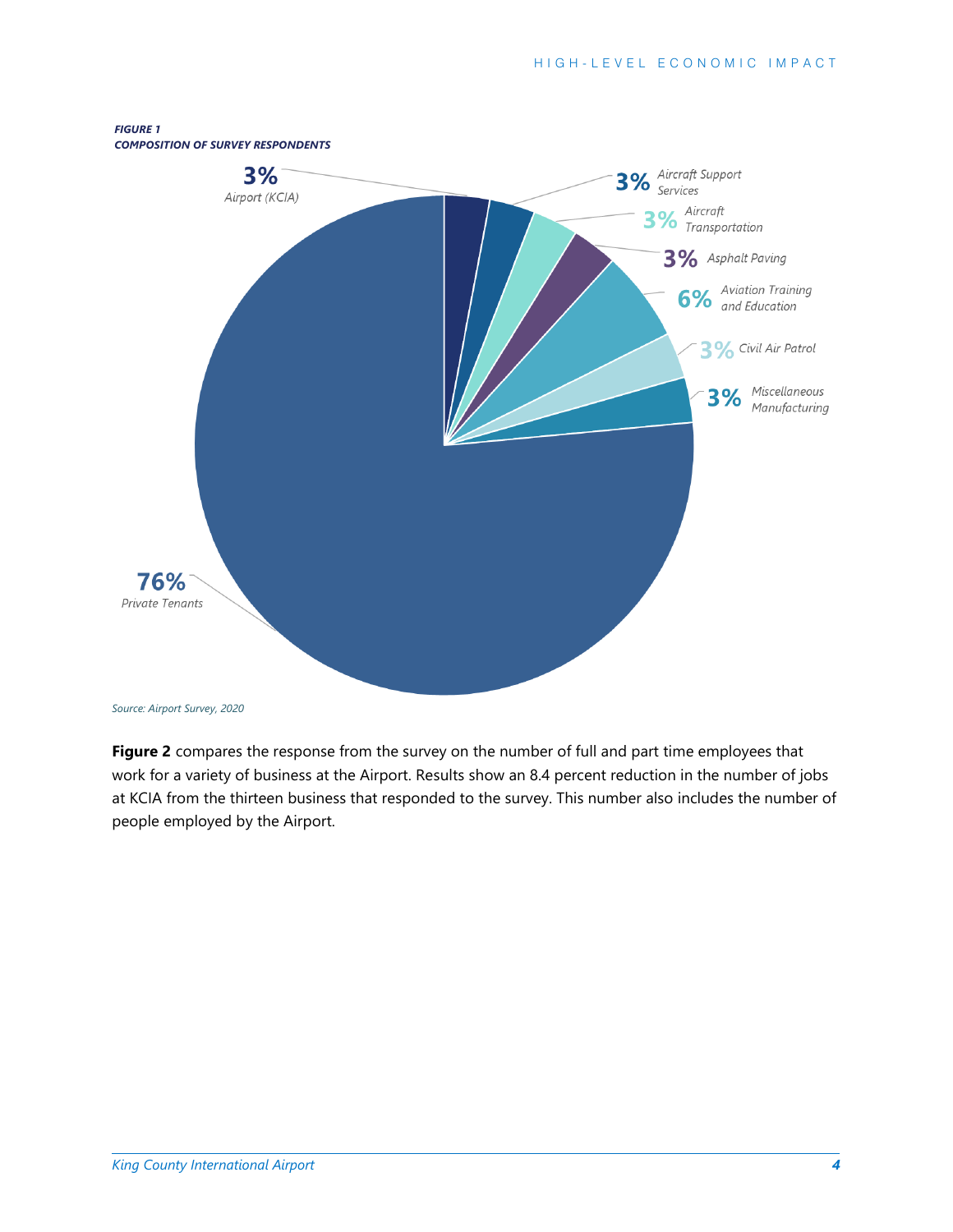

*Source: Airport Survey, 2020*

**Figure 2** compares the response from the survey on the number of full and part time employees that work for a variety of business at the Airport. Results show an 8.4 percent reduction in the number of jobs at KCIA from the thirteen business that responded to the survey. This number also includes the number of people employed by the Airport.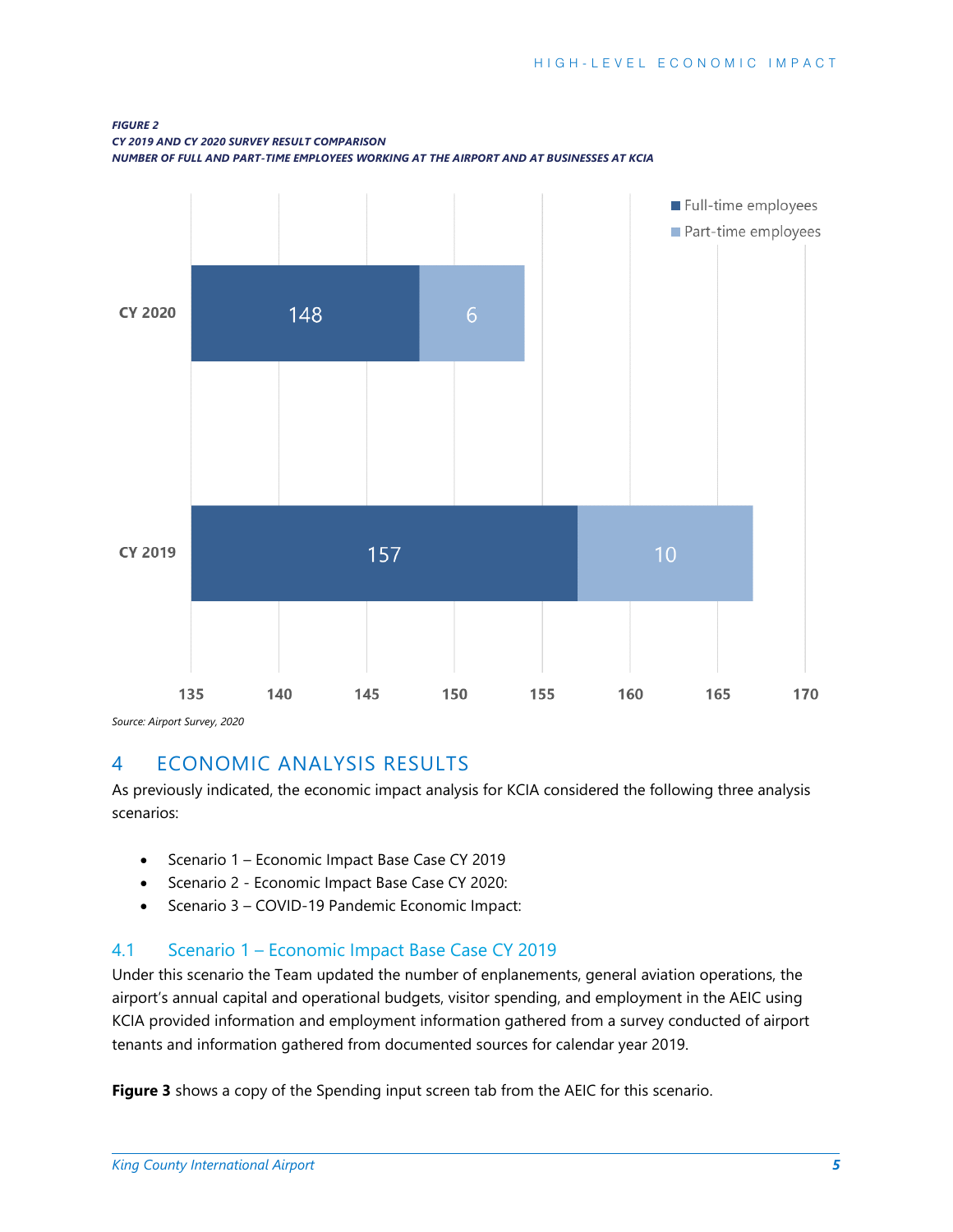

<span id="page-6-0"></span>*Source: Airport Survey, 2020*

## 4 ECONOMIC ANALYSIS RESULTS

As previously indicated, the economic impact analysis for KCIA considered the following three analysis scenarios:

- Scenario 1 Economic Impact Base Case CY 2019
- Scenario 2 Economic Impact Base Case CY 2020:
- Scenario 3 COVID-19 Pandemic Economic Impact:

## <span id="page-6-1"></span>4.1 Scenario 1 – Economic Impact Base Case CY 2019

Under this scenario the Team updated the number of enplanements, general aviation operations, the airport's annual capital and operational budgets, visitor spending, and employment in the AEIC using KCIA provided information and employment information gathered from a survey conducted of airport tenants and information gathered from documented sources for calendar year 2019.

**Figure 3** shows a copy of the Spending input screen tab from the AEIC for this scenario.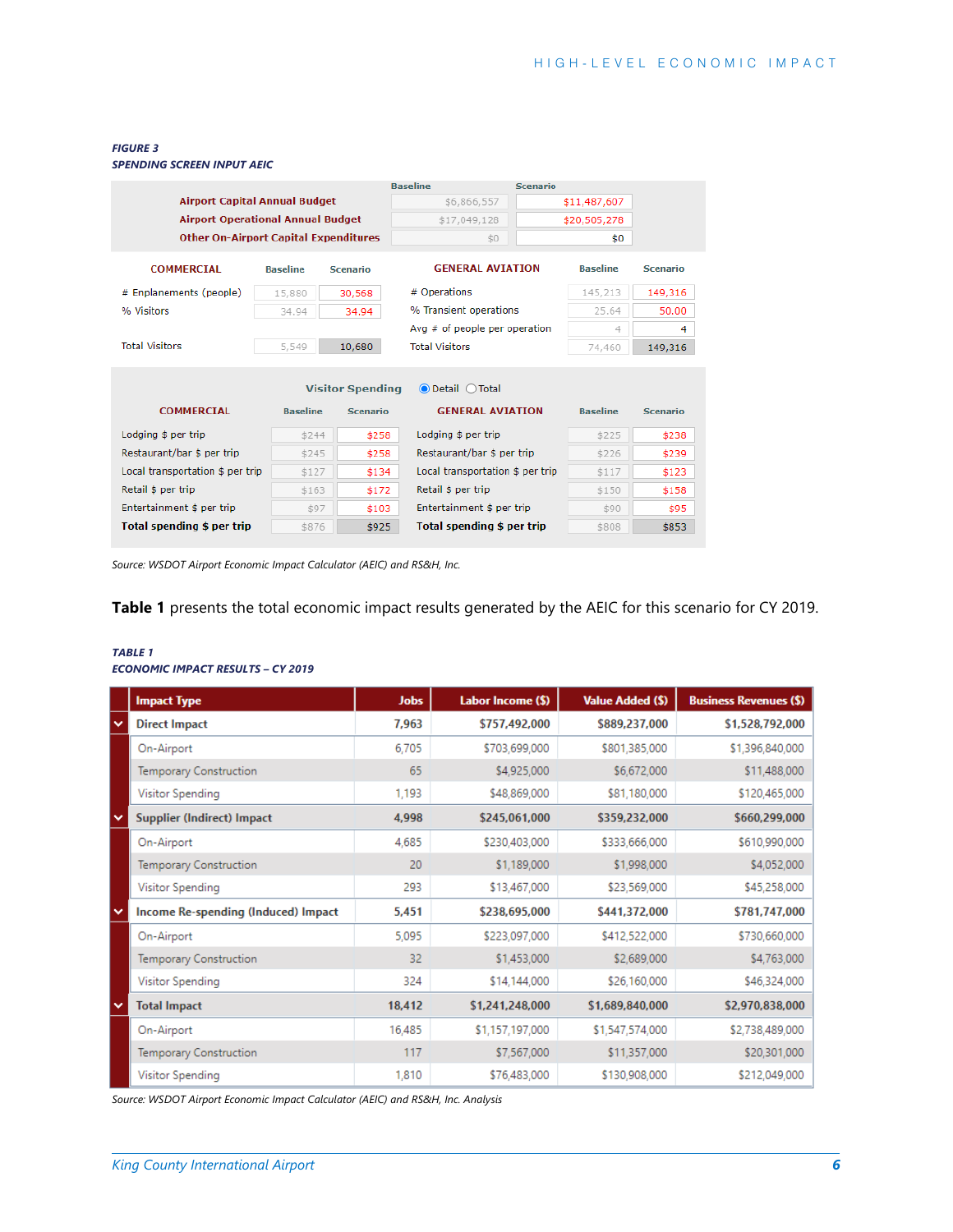#### *FIGURE 3*

*SPENDING SCREEN INPUT AEIC*

|                                              |                 |                         | <b>Baseline</b>                   | <b>Scenario</b> |                 |                 |
|----------------------------------------------|-----------------|-------------------------|-----------------------------------|-----------------|-----------------|-----------------|
| <b>Airport Capital Annual Budget</b>         |                 |                         | \$6,866,557                       |                 | \$11,487,607    |                 |
| <b>Airport Operational Annual Budget</b>     |                 |                         | \$17,049,128                      |                 | \$20,505,278    |                 |
| <b>Other On-Airport Capital Expenditures</b> |                 | \$0                     |                                   | \$0             |                 |                 |
| <b>COMMERCIAL</b>                            | <b>Baseline</b> | <b>Scenario</b>         | <b>GENERAL AVIATION</b>           |                 | <b>Baseline</b> | <b>Scenario</b> |
| # Enplanements (people)                      | 15,880          | 30.568                  | # Operations                      |                 | 145,213         | 149,316         |
| % Visitors                                   | 34.94           | 34.94                   | % Transient operations            |                 | 25.64           | 50.00           |
|                                              |                 |                         | Avg $#$ of people per operation   |                 | 4               | 4               |
| <b>Total Visitors</b>                        | 5,549           | 10,680                  | <b>Total Visitors</b>             |                 | 74,460          | 149,316         |
|                                              |                 |                         |                                   |                 |                 |                 |
|                                              |                 | <b>Visitor Spending</b> | $\odot$ Detail $\odot$ Total      |                 |                 |                 |
| <b>COMMERCIAL</b>                            | <b>Baseline</b> | <b>Scenario</b>         | <b>GENERAL AVIATION</b>           |                 | <b>Baseline</b> | <b>Scenario</b> |
| Lodging \$ per trip                          | \$244           | \$258                   | Lodging \$ per trip               |                 | \$225           | \$238           |
| Restaurant/bar \$ per trip                   | \$245           | \$258                   | Restaurant/bar \$ per trip        |                 | \$226           | \$239           |
| Local transportation \$ per trip             | \$127           | \$134                   | Local transportation \$ per trip  |                 | \$117           | \$123           |
| Retail \$ per trip                           | \$163           | \$172                   | Retail \$ per trip                |                 | \$150           | \$158           |
| Entertainment \$ per trip                    | \$97            | \$103                   | Entertainment \$ per trip         |                 | \$90            | \$95            |
| Total spending \$ per trip                   | \$876           | \$925                   | <b>Total spending \$ per trip</b> |                 | \$808           | \$853           |

*Source: WSDOT Airport Economic Impact Calculator (AEIC) and RS&H, Inc.* 

## **Table 1** presents the total economic impact results generated by the AEIC for this scenario for CY 2019.

#### *TABLE 1 ECONOMIC IMPACT RESULTS – CY 2019*

|              | <b>Impact Type</b>                  | <b>Jobs</b> | Labor Income (\$) | <b>Value Added (\$)</b> | <b>Business Revenues (\$)</b> |
|--------------|-------------------------------------|-------------|-------------------|-------------------------|-------------------------------|
| v            | <b>Direct Impact</b>                | 7,963       | \$757,492,000     | \$889,237,000           | \$1,528,792,000               |
|              | On-Airport                          | 6,705       | \$703,699,000     | \$801,385,000           | \$1,396,840,000               |
|              | Temporary Construction              | 65          | \$4,925,000       | \$6,672,000             | \$11,488,000                  |
|              | Visitor Spending                    | 1,193       | \$48,869,000      | \$81,180,000            | \$120,465,000                 |
| $\checkmark$ | <b>Supplier (Indirect) Impact</b>   | 4,998       | \$245,061,000     | \$359,232,000           | \$660,299,000                 |
|              | On-Airport                          | 4,685       | \$230,403,000     | \$333,666,000           | \$610,990,000                 |
|              | Temporary Construction              | 20          | \$1,189,000       | \$1,998,000             | \$4,052,000                   |
|              | Visitor Spending                    | 293         | \$13,467,000      | \$23,569,000            | \$45,258,000                  |
| $\checkmark$ | Income Re-spending (Induced) Impact | 5,451       | \$238,695,000     | \$441,372,000           | \$781,747,000                 |
|              | On-Airport                          | 5,095       | \$223,097,000     | \$412,522,000           | \$730,660,000                 |
|              | <b>Temporary Construction</b>       | 32          | \$1,453,000       | \$2,689,000             | \$4,763,000                   |
|              | Visitor Spending                    | 324         | \$14,144,000      | \$26,160,000            | \$46,324,000                  |
| $\checkmark$ | <b>Total Impact</b>                 | 18,412      | \$1,241,248,000   | \$1,689,840,000         | \$2,970,838,000               |
|              | On-Airport                          | 16,485      | \$1,157,197,000   | \$1,547,574,000         | \$2,738,489,000               |
|              | Temporary Construction              | 117         | \$7,567,000       | \$11,357,000            | \$20,301,000                  |
|              | Visitor Spending                    | 1,810       | \$76,483,000      | \$130,908,000           | \$212,049,000                 |

*Source: WSDOT Airport Economic Impact Calculator (AEIC) and RS&H, Inc. Analysis*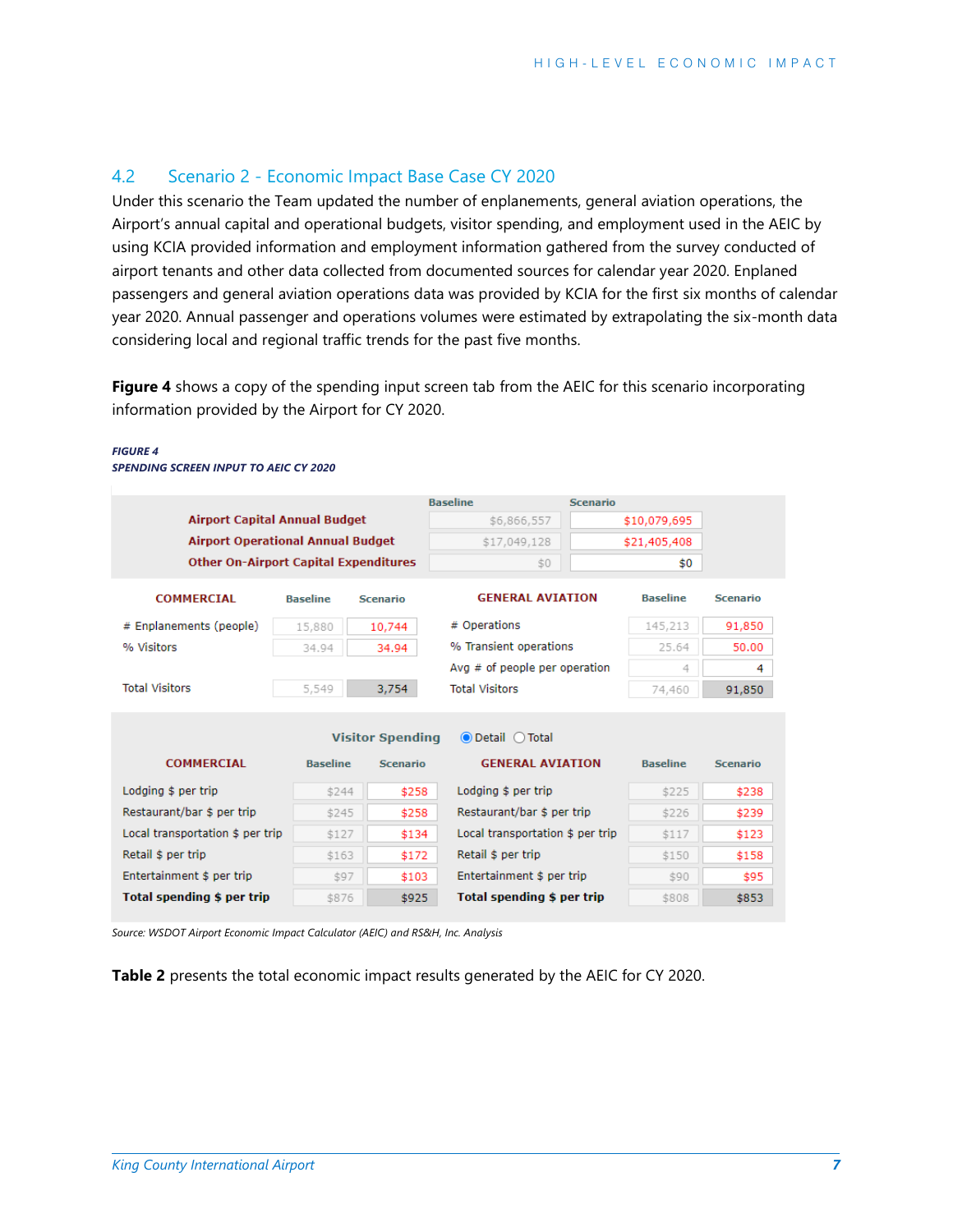## <span id="page-8-0"></span>4.2 Scenario 2 - Economic Impact Base Case CY 2020

Under this scenario the Team updated the number of enplanements, general aviation operations, the Airport's annual capital and operational budgets, visitor spending, and employment used in the AEIC by using KCIA provided information and employment information gathered from the survey conducted of airport tenants and other data collected from documented sources for calendar year 2020. Enplaned passengers and general aviation operations data was provided by KCIA for the first six months of calendar year 2020. Annual passenger and operations volumes were estimated by extrapolating the six-month data considering local and regional traffic trends for the past five months.

**Figure 4** shows a copy of the spending input screen tab from the AEIC for this scenario incorporating information provided by the Airport for CY 2020.

#### *FIGURE 4*

*SPENDING SCREEN INPUT TO AEIC CY 2020*

|                                              |                 | <b>Baseline</b>         | <b>Scenario</b>                  |              |                 |                 |
|----------------------------------------------|-----------------|-------------------------|----------------------------------|--------------|-----------------|-----------------|
| <b>Airport Capital Annual Budget</b>         |                 |                         | \$6,866,557                      |              | \$10,079,695    |                 |
| <b>Airport Operational Annual Budget</b>     |                 |                         | \$17,049,128                     | \$21,405,408 |                 |                 |
| <b>Other On-Airport Capital Expenditures</b> |                 |                         | \$0                              |              | \$0             |                 |
|                                              |                 |                         |                                  |              |                 |                 |
| <b>COMMERCIAL</b>                            | <b>Baseline</b> | <b>Scenario</b>         | <b>GENERAL AVIATION</b>          |              | <b>Baseline</b> | <b>Scenario</b> |
| # Enplanements (people)                      | 15,880          | 10,744                  | # Operations                     |              | 145,213         | 91,850          |
| % Visitors                                   | 34.94           | 34.94                   | % Transient operations           |              | 25.64           | 50.00           |
|                                              |                 |                         | Avg $#$ of people per operation  |              | 4               | 4               |
| <b>Total Visitors</b>                        | 5,549           | 3,754                   | <b>Total Visitors</b>            |              | 74,460          | 91,850          |
|                                              |                 |                         |                                  |              |                 |                 |
|                                              |                 | <b>Visitor Spending</b> | <b>O</b> Detail ○ Total          |              |                 |                 |
| <b>COMMERCIAL</b>                            | <b>Baseline</b> | <b>Scenario</b>         | <b>GENERAL AVIATION</b>          |              | <b>Baseline</b> | <b>Scenario</b> |
|                                              |                 |                         |                                  |              |                 |                 |
| Lodging \$ per trip                          | \$244           | \$258                   | Lodging \$ per trip              |              | \$225           | \$238           |
| Restaurant/bar \$ per trip                   | \$245           | \$258                   | Restaurant/bar \$ per trip       |              | \$226           | \$239           |
| Local transportation \$ per trip             | \$127           | \$134                   | Local transportation \$ per trip |              | \$117           | \$123           |
| Retail \$ per trip                           | \$163           | \$172                   | Retail \$ per trip               |              | \$150           | \$158           |
| Entertainment \$ per trip                    | \$97            | \$103                   | Entertainment \$ per trip        |              | \$90            | \$95            |
| Total spending \$ per trip                   |                 |                         |                                  |              |                 |                 |

*Source: WSDOT Airport Economic Impact Calculator (AEIC) and RS&H, Inc. Analysis* 

**Table 2** presents the total economic impact results generated by the AEIC for CY 2020.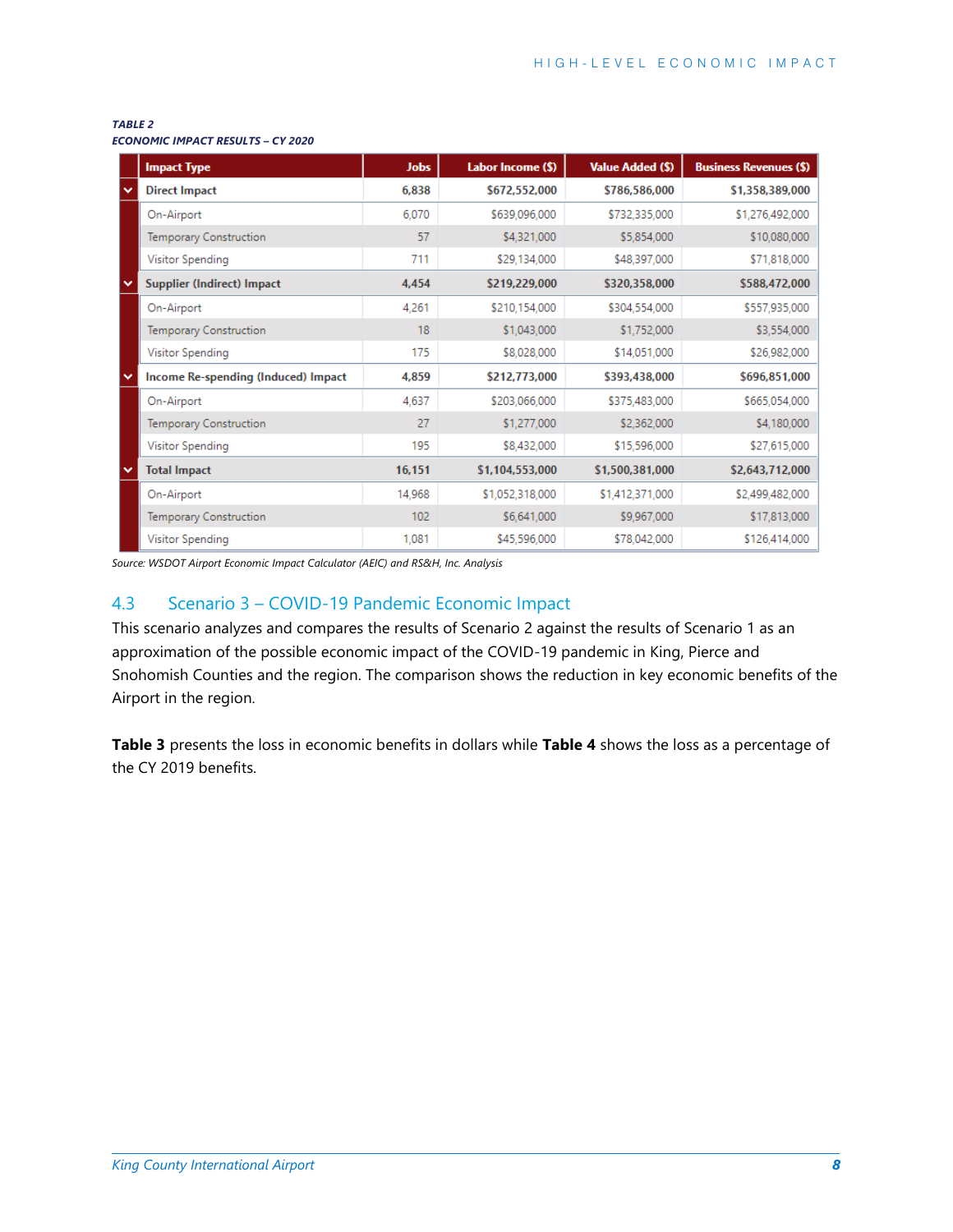#### *TABLE 2*

|              | <b>Impact Type</b>                  | <b>Jobs</b> | Labor Income (\$) | <b>Value Added (\$)</b> | <b>Business Revenues (\$)</b> |
|--------------|-------------------------------------|-------------|-------------------|-------------------------|-------------------------------|
| $\checkmark$ | <b>Direct Impact</b>                | 6,838       | \$672,552,000     | \$786,586,000           | \$1,358,389,000               |
|              | On-Airport                          | 6,070       | \$639,096,000     | \$732,335,000           | \$1,276,492,000               |
|              | Temporary Construction              | 57          | \$4,321,000       | \$5,854,000             | \$10,080,000                  |
|              | Visitor Spending                    | 711         | \$29,134,000      | \$48,397,000            | \$71,818,000                  |
| $\checkmark$ | Supplier (Indirect) Impact          | 4,454       | \$219,229,000     | \$320,358,000           | \$588,472,000                 |
|              | On-Airport                          | 4,261       | \$210,154,000     | \$304,554,000           | \$557,935,000                 |
|              | Temporary Construction              | 18          | \$1,043,000       | \$1,752,000             | \$3,554,000                   |
|              | Visitor Spending                    | 175         | \$8,028,000       | \$14,051,000            | \$26,982,000                  |
| $\checkmark$ | Income Re-spending (Induced) Impact | 4,859       | \$212,773,000     | \$393,438,000           | \$696,851,000                 |
|              | On-Airport                          | 4,637       | \$203,066,000     | \$375,483,000           | \$665,054,000                 |
|              | Temporary Construction              | 27          | \$1,277,000       | \$2,362,000             | \$4,180,000                   |
|              | Visitor Spending                    | 195         | \$8,432,000       | \$15,596,000            | \$27,615,000                  |
| $\checkmark$ | <b>Total Impact</b>                 | 16,151      | \$1,104,553,000   | \$1,500,381,000         | \$2,643,712,000               |
|              | On-Airport                          | 14,968      | \$1,052,318,000   | \$1,412,371,000         | \$2,499,482,000               |
|              | Temporary Construction              | 102         | \$6,641,000       | \$9,967,000             | \$17,813,000                  |
|              | Visitor Spending                    | 1,081       | \$45,596,000      | \$78,042,000            | \$126,414,000                 |

<span id="page-9-0"></span>*Source: WSDOT Airport Economic Impact Calculator (AEIC) and RS&H, Inc. Analysis*

## 4.3 Scenario 3 – COVID-19 Pandemic Economic Impact

This scenario analyzes and compares the results of Scenario 2 against the results of Scenario 1 as an approximation of the possible economic impact of the COVID-19 pandemic in King, Pierce and Snohomish Counties and the region. The comparison shows the reduction in key economic benefits of the Airport in the region.

**Table 3** presents the loss in economic benefits in dollars while **Table 4** shows the loss as a percentage of the CY 2019 benefits.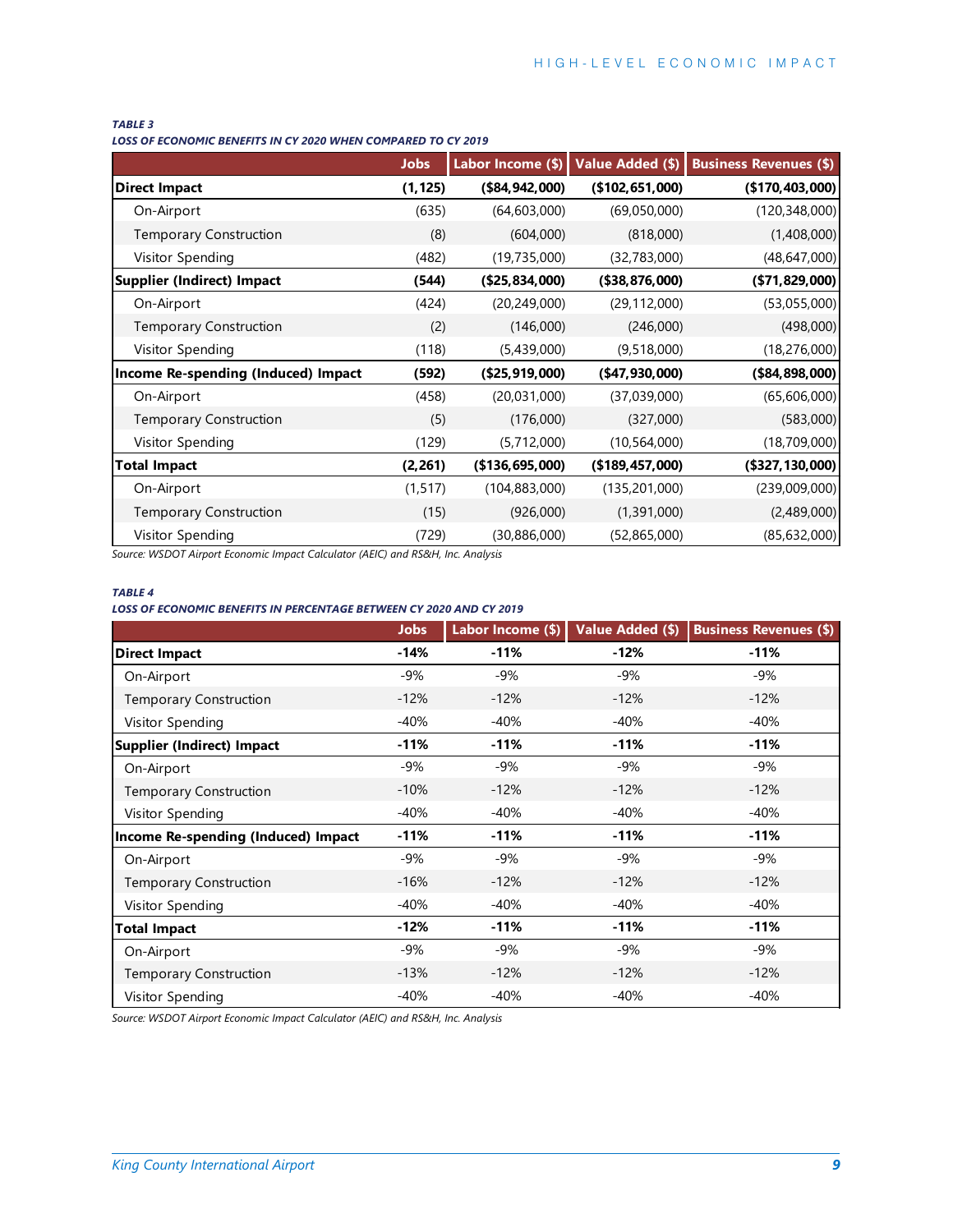#### *TABLE 3*

*LOSS OF ECONOMIC BENEFITS IN CY 2020 WHEN COMPARED TO CY 2019*

|                                     | <b>Jobs</b> | Labor Income (\$) | Value Added (\$)  | <b>Business Revenues (\$)</b> |
|-------------------------------------|-------------|-------------------|-------------------|-------------------------------|
| <b>Direct Impact</b>                | (1, 125)    | (\$84,942,000)    | (\$102, 651, 000) | (\$170,403,000)               |
| On-Airport                          | (635)       | (64, 603, 000)    | (69,050,000)      | (120, 348, 000)               |
| <b>Temporary Construction</b>       | (8)         | (604,000)         | (818,000)         | (1,408,000)                   |
| Visitor Spending                    | (482)       | (19, 735, 000)    | (32,783,000)      | (48, 647, 000)                |
| Supplier (Indirect) Impact          | (544)       | (\$25,834,000)    | (\$38,876,000)    | (\$71,829,000)                |
| On-Airport                          | (424)       | (20, 249, 000)    | (29, 112, 000)    | (53,055,000)                  |
| Temporary Construction              | (2)         | (146,000)         | (246,000)         | (498,000)                     |
| Visitor Spending                    | (118)       | (5,439,000)       | (9,518,000)       | (18, 276, 000)                |
| Income Re-spending (Induced) Impact | (592)       | (\$25,919,000)    | $(*47,930,000)$   | $(*84,898,000)$               |
| On-Airport                          | (458)       | (20,031,000)      | (37,039,000)      | (65,606,000)                  |
| <b>Temporary Construction</b>       | (5)         | (176,000)         | (327,000)         | (583,000)                     |
| Visitor Spending                    | (129)       | (5,712,000)       | (10, 564, 000)    | (18,709,000)                  |
| <b>Total Impact</b>                 | (2, 261)    | (\$136,695,000)   | (\$189, 457, 000) | (\$327,130,000)               |
| On-Airport                          | (1, 517)    | (104, 883, 000)   | (135, 201, 000)   | (239,009,000)                 |
| Temporary Construction              | (15)        | (926,000)         | (1,391,000)       | (2,489,000)                   |
| Visitor Spending                    | (729)       | (30,886,000)      | (52,865,000)      | (85, 632, 000)                |

*Source: WSDOT Airport Economic Impact Calculator (AEIC) and RS&H, Inc. Analysis*

#### *TABLE 4*

#### *LOSS OF ECONOMIC BENEFITS IN PERCENTAGE BETWEEN CY 2020 AND CY 2019*

|                                     | <b>Jobs</b> | Labor Income (\$) | Value Added (\$) | <b>Business Revenues (\$)</b> |
|-------------------------------------|-------------|-------------------|------------------|-------------------------------|
| <b>Direct Impact</b>                | $-14%$      | $-11%$            | $-12%$           | $-11%$                        |
| On-Airport                          | $-9%$       | $-9%$             | $-9%$            | $-9%$                         |
| <b>Temporary Construction</b>       | $-12%$      | $-12%$            | $-12%$           | $-12%$                        |
| Visitor Spending                    | $-40%$      | $-40%$            | $-40%$           | $-40%$                        |
| <b>Supplier (Indirect) Impact</b>   | $-11%$      | $-11%$            | $-11%$           | $-11%$                        |
| On-Airport                          | -9%         | $-9%$             | $-9%$            | $-9%$                         |
| Temporary Construction              | $-10%$      | $-12%$            | $-12%$           | $-12%$                        |
| Visitor Spending                    | $-40%$      | $-40%$            | $-40%$           | $-40%$                        |
| Income Re-spending (Induced) Impact | $-11%$      | $-11%$            | $-11%$           | $-11%$                        |
| On-Airport                          | -9%         | $-9%$             | $-9%$            | $-9%$                         |
| Temporary Construction              | $-16%$      | $-12%$            | $-12%$           | $-12%$                        |
| Visitor Spending                    | $-40%$      | $-40%$            | $-40%$           | $-40%$                        |
| <b>Total Impact</b>                 | $-12%$      | $-11%$            | $-11%$           | $-11%$                        |
| On-Airport                          | $-9%$       | $-9%$             | $-9%$            | $-9%$                         |
| Temporary Construction              | $-13%$      | $-12%$            | $-12%$           | $-12%$                        |
| Visitor Spending                    | $-40%$      | $-40%$            | $-40%$           | $-40%$                        |

*Source: WSDOT Airport Economic Impact Calculator (AEIC) and RS&H, Inc. Analysis*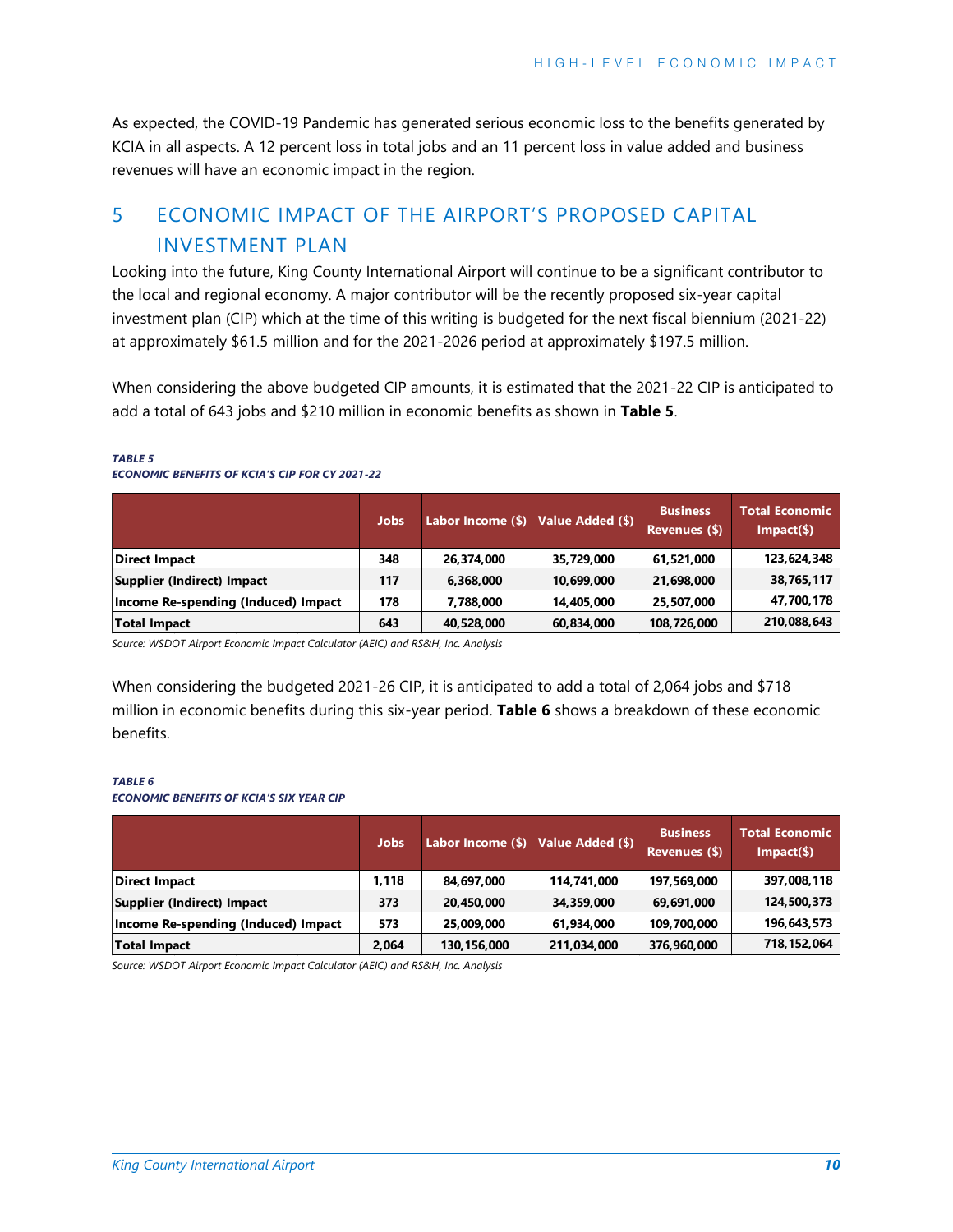As expected, the COVID-19 Pandemic has generated serious economic loss to the benefits generated by KCIA in all aspects. A 12 percent loss in total jobs and an 11 percent loss in value added and business revenues will have an economic impact in the region.

## <span id="page-11-0"></span>5 ECONOMIC IMPACT OF THE AIRPORT'S PROPOSED CAPITAL INVESTMENT PLAN

Looking into the future, King County International Airport will continue to be a significant contributor to the local and regional economy. A major contributor will be the recently proposed six-year capital investment plan (CIP) which at the time of this writing is budgeted for the next fiscal biennium (2021-22) at approximately \$61.5 million and for the 2021-2026 period at approximately \$197.5 million.

When considering the above budgeted CIP amounts, it is estimated that the 2021-22 CIP is anticipated to add a total of 643 jobs and \$210 million in economic benefits as shown in **Table 5**.

#### *TABLE 5*

|                                     | <b>Jobs</b> | Labor Income (\$) Value Added (\$) |            | <b>Business</b><br>Revenues (\$) | <b>Total Economic</b><br>$Impart(\$)$ |
|-------------------------------------|-------------|------------------------------------|------------|----------------------------------|---------------------------------------|
| <b>Direct Impact</b>                | 348         | 26,374,000                         | 35,729,000 | 61,521,000                       | 123,624,348                           |
| Supplier (Indirect) Impact          | 117         | 6.368.000                          | 10,699,000 | 21,698,000                       | 38,765,117                            |
| Income Re-spending (Induced) Impact | 178         | 7.788.000                          | 14.405.000 | 25,507,000                       | 47,700,178                            |
| <b>Total Impact</b>                 | 643         | 40,528,000                         | 60,834,000 | 108,726,000                      | 210,088,643                           |

#### *ECONOMIC BENEFITS OF KCIA'S CIP FOR CY 2021-22*

*Source: WSDOT Airport Economic Impact Calculator (AEIC) and RS&H, Inc. Analysis* 

When considering the budgeted 2021-26 CIP, it is anticipated to add a total of 2,064 jobs and \$718 million in economic benefits during this six-year period. **Table 6** shows a breakdown of these economic benefits.

#### *TABLE 6*

#### *ECONOMIC BENEFITS OF KCIA'S SIX YEAR CIP*

|                                     | <b>Jobs</b> | Labor Income (\$) Value Added (\$) |             | <b>Business</b><br>Revenues (\$) | <b>Total Economic</b><br>$Impart(\$)$ |
|-------------------------------------|-------------|------------------------------------|-------------|----------------------------------|---------------------------------------|
| <b>Direct Impact</b>                | 1,118       | 84,697,000                         | 114,741,000 | 197,569,000                      | 397,008,118                           |
| Supplier (Indirect) Impact          | 373         | 20,450,000                         | 34,359,000  | 69,691,000                       | 124,500,373                           |
| Income Re-spending (Induced) Impact | 573         | 25,009,000                         | 61,934,000  | 109,700,000                      | 196,643,573                           |
| <b>Total Impact</b>                 | 2,064       | 130, 156, 000                      | 211,034,000 | 376,960,000                      | 718, 152, 064                         |

*Source: WSDOT Airport Economic Impact Calculator (AEIC) and RS&H, Inc. Analysis*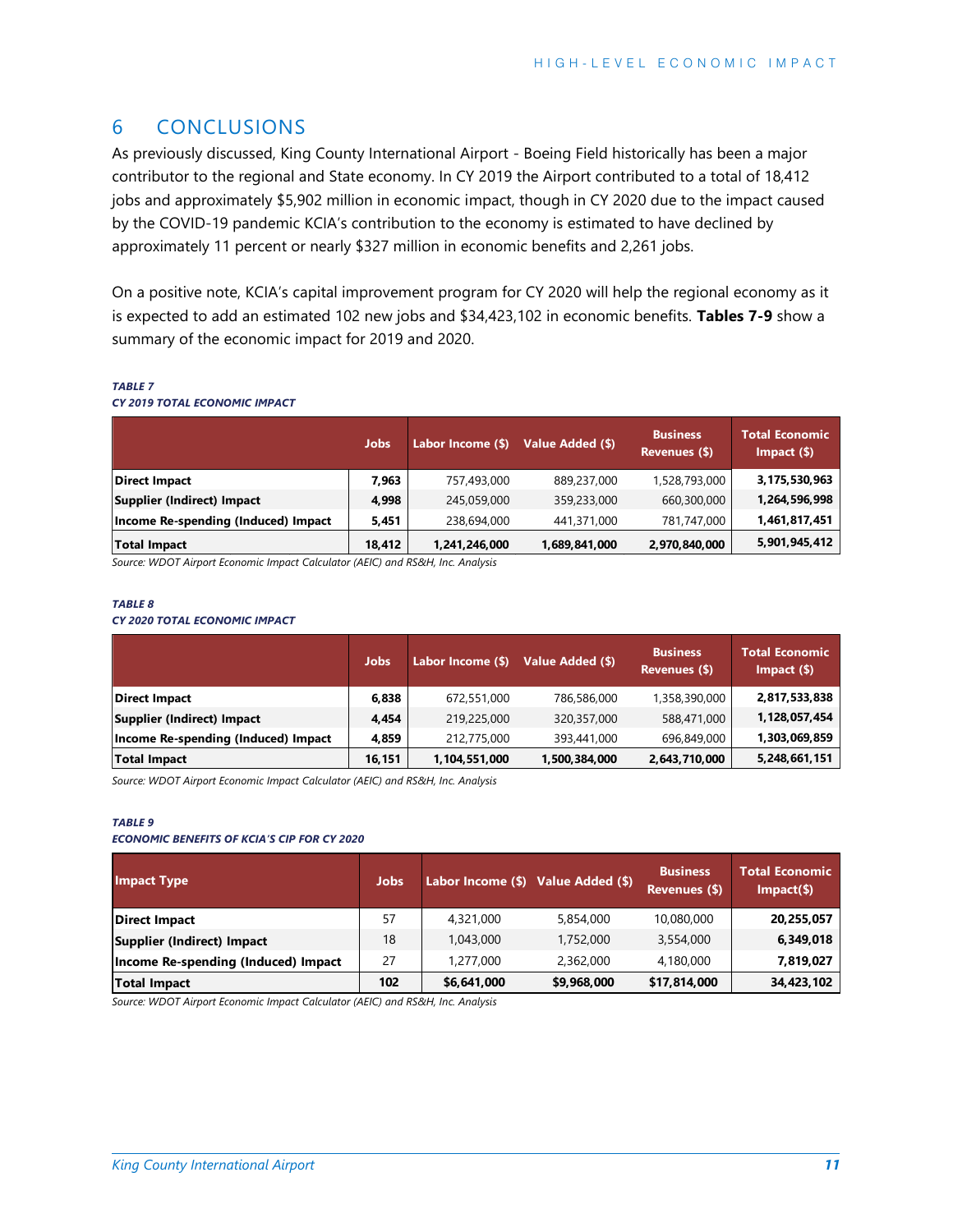## <span id="page-12-0"></span>6 CONCLUSIONS

As previously discussed, King County International Airport - Boeing Field historically has been a major contributor to the regional and State economy. In CY 2019 the Airport contributed to a total of 18,412 jobs and approximately \$5,902 million in economic impact, though in CY 2020 due to the impact caused by the COVID-19 pandemic KCIA's contribution to the economy is estimated to have declined by approximately 11 percent or nearly \$327 million in economic benefits and 2,261 jobs.

On a positive note, KCIA's capital improvement program for CY 2020 will help the regional economy as it is expected to add an estimated 102 new jobs and \$34,423,102 in economic benefits. **Tables 7-9** show a summary of the economic impact for 2019 and 2020.

#### <span id="page-12-1"></span>*TABLE 7*

#### *CY 2019 TOTAL ECONOMIC IMPACT*

|                                     | <b>Jobs</b> | Labor Income (\$) | Value Added (\$) | <b>Business</b><br>Revenues (\$) | <b>Total Economic</b><br>$Im$ pact $(\$)$ |
|-------------------------------------|-------------|-------------------|------------------|----------------------------------|-------------------------------------------|
| <b>Direct Impact</b>                | 7,963       | 757,493,000       | 889,237,000      | 1,528,793,000                    | 3,175,530,963                             |
| Supplier (Indirect) Impact          | 4,998       | 245,059,000       | 359,233,000      | 660,300,000                      | 1,264,596,998                             |
| Income Re-spending (Induced) Impact | 5,451       | 238,694,000       | 441,371,000      | 781,747,000                      | 1,461,817,451                             |
| <b>Total Impact</b>                 | 18,412      | 1,241,246,000     | 1,689,841,000    | 2,970,840,000                    | 5,901,945,412                             |

*Source: WDOT Airport Economic Impact Calculator (AEIC) and RS&H, Inc. Analysis*

#### *TABLE 8*

#### *CY 2020 TOTAL ECONOMIC IMPACT*

|                                     | Jobs.  | Labor Income (\$) | Value Added (\$) | <b>Business</b><br>Revenues (\$) | <b>Total Economic</b><br>$Im$ pact $($ \$) |
|-------------------------------------|--------|-------------------|------------------|----------------------------------|--------------------------------------------|
| <b>Direct Impact</b>                | 6,838  | 672,551,000       | 786,586,000      | 1,358,390,000                    | 2,817,533,838                              |
| Supplier (Indirect) Impact          | 4.454  | 219,225,000       | 320,357,000      | 588,471,000                      | 1,128,057,454                              |
| Income Re-spending (Induced) Impact | 4.859  | 212,775,000       | 393,441,000      | 696.849.000                      | 1,303,069,859                              |
| Total Impact                        | 16,151 | 1,104,551,000     | 1,500,384,000    | 2,643,710,000                    | 5,248,661,151                              |

*Source: WDOT Airport Economic Impact Calculator (AEIC) and RS&H, Inc. Analysis*

#### *TABLE 9*

#### *ECONOMIC BENEFITS OF KCIA'S CIP FOR CY 2020*

| <b>Impact Type</b>                  | <b>Jobs</b> | Labor Income (\$) Value Added (\$) |             | <b>Business</b><br>Revenues (\$) | <b>Total Economic</b><br>$Impat(\$))$ |
|-------------------------------------|-------------|------------------------------------|-------------|----------------------------------|---------------------------------------|
| <b>Direct Impact</b>                | 57          | 4,321,000                          | 5,854,000   | 10,080,000                       | 20,255,057                            |
| <b>Supplier (Indirect) Impact</b>   | 18          | 1.043.000                          | 1,752,000   | 3,554,000                        | 6,349,018                             |
| Income Re-spending (Induced) Impact | 27          | 1,277,000                          | 2,362,000   | 4,180,000                        | 7,819,027                             |
| <b>Total Impact</b>                 | 102         | \$6,641,000                        | \$9,968,000 | \$17,814,000                     | 34,423,102                            |

*Source: WDOT Airport Economic Impact Calculator (AEIC) and RS&H, Inc. Analysis*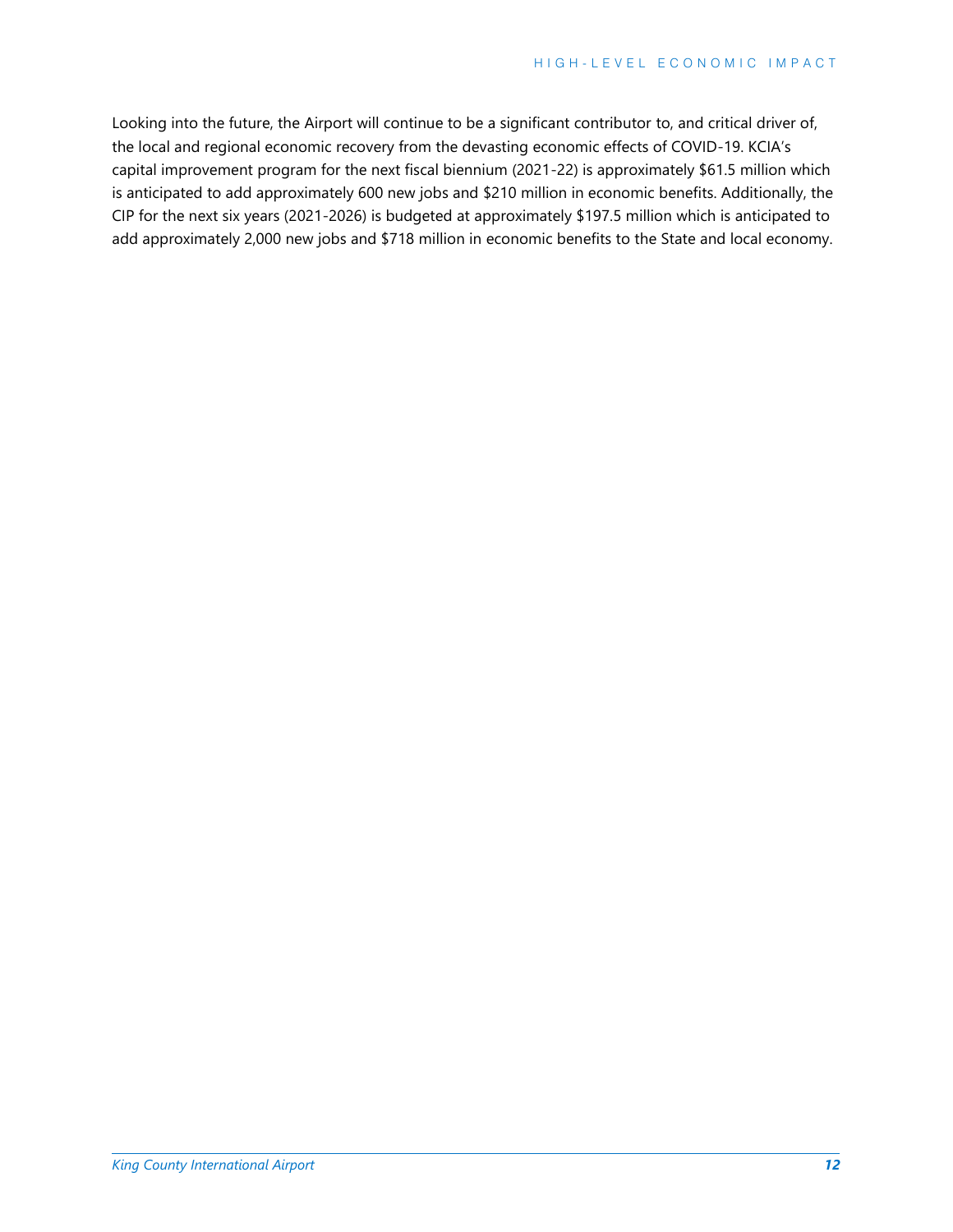Looking into the future, the Airport will continue to be a significant contributor to, and critical driver of, the local and regional economic recovery from the devasting economic effects of COVID-19. KCIA's capital improvement program for the next fiscal biennium (2021-22) is approximately \$61.5 million which is anticipated to add approximately 600 new jobs and \$210 million in economic benefits. Additionally, the CIP for the next six years (2021-2026) is budgeted at approximately \$197.5 million which is anticipated to add approximately 2,000 new jobs and \$718 million in economic benefits to the State and local economy.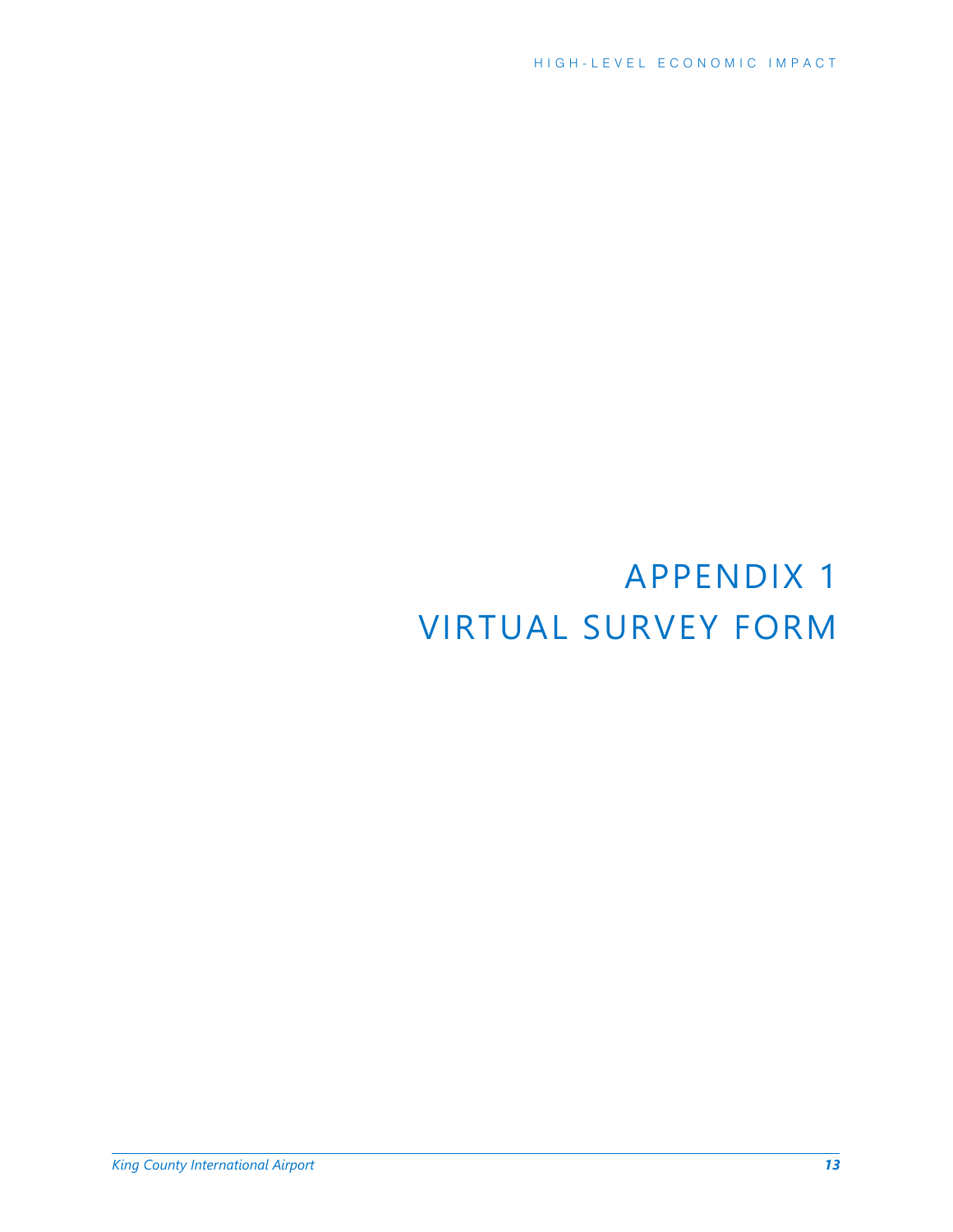# APPENDIX 1 VIRTUAL SURVEY FORM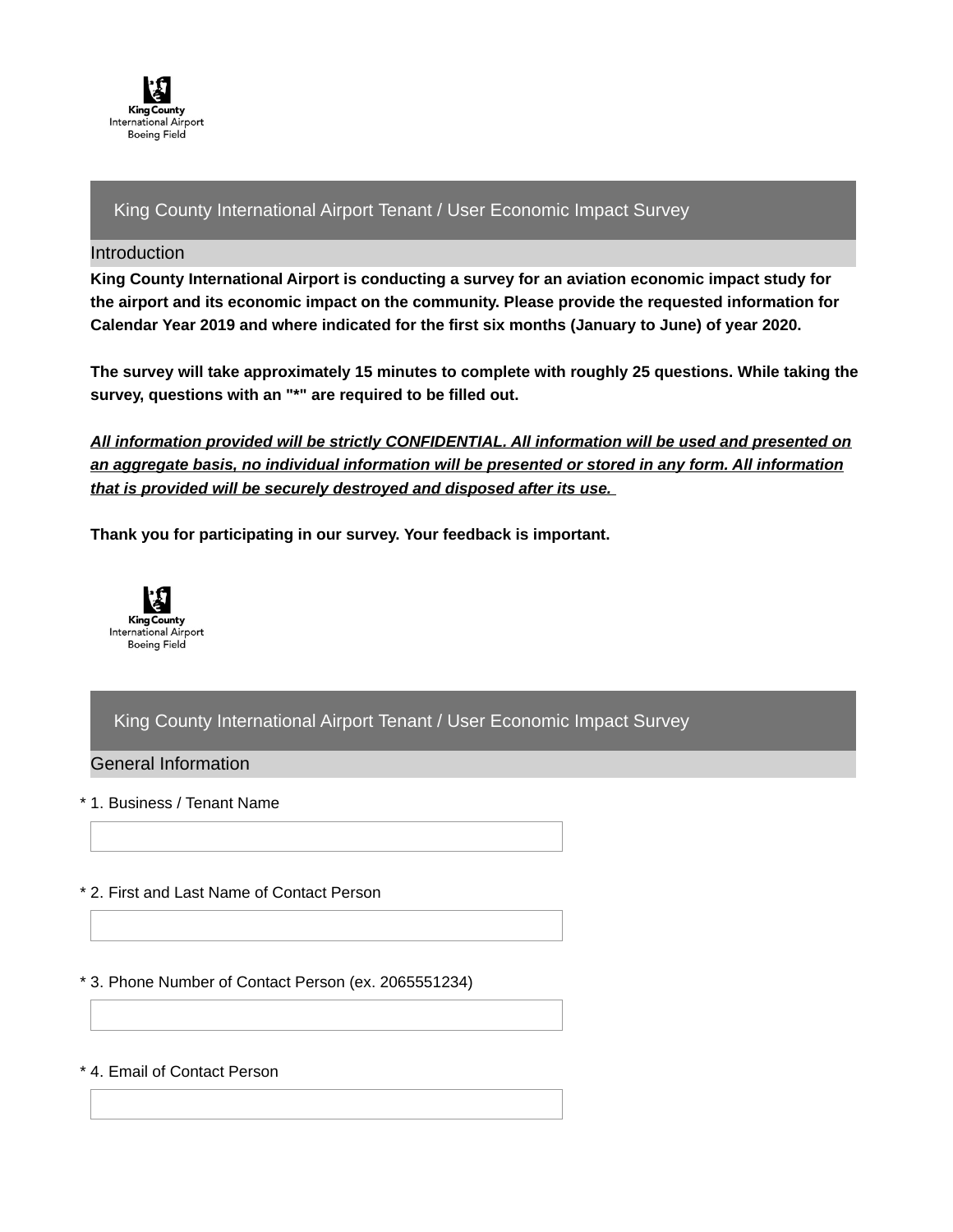

## King County International Airport Tenant / User Economic Impact Survey

#### Introduction

**King County International Airport is conducting a survey for an aviation economic impact study for the airport and its economic impact on the community. Please provide the requested information for Calendar Year 2019 and where indicated for the first six months (January to June) of year 2020.**

**The survey will take approximately 15 minutes to complete with roughly 25 questions. While taking the survey, questions with an "\*" are required to be filled out.**

*All information provided will be strictly CONFIDENTIAL. All information will be used and presented on an aggregate basis, no individual information will be presented or stored in any form. All information that is provided will be securely destroyed and disposed after its use.*

**Thank you for participating in our survey. Your feedback is important.**



## King County International Airport Tenant / User Economic Impact Survey

General Information

\* 1. Business / Tenant Name

- \* 2. First and Last Name of Contact Person
- \* 3. Phone Number of Contact Person (ex. 2065551234)

\* 4. Email of Contact Person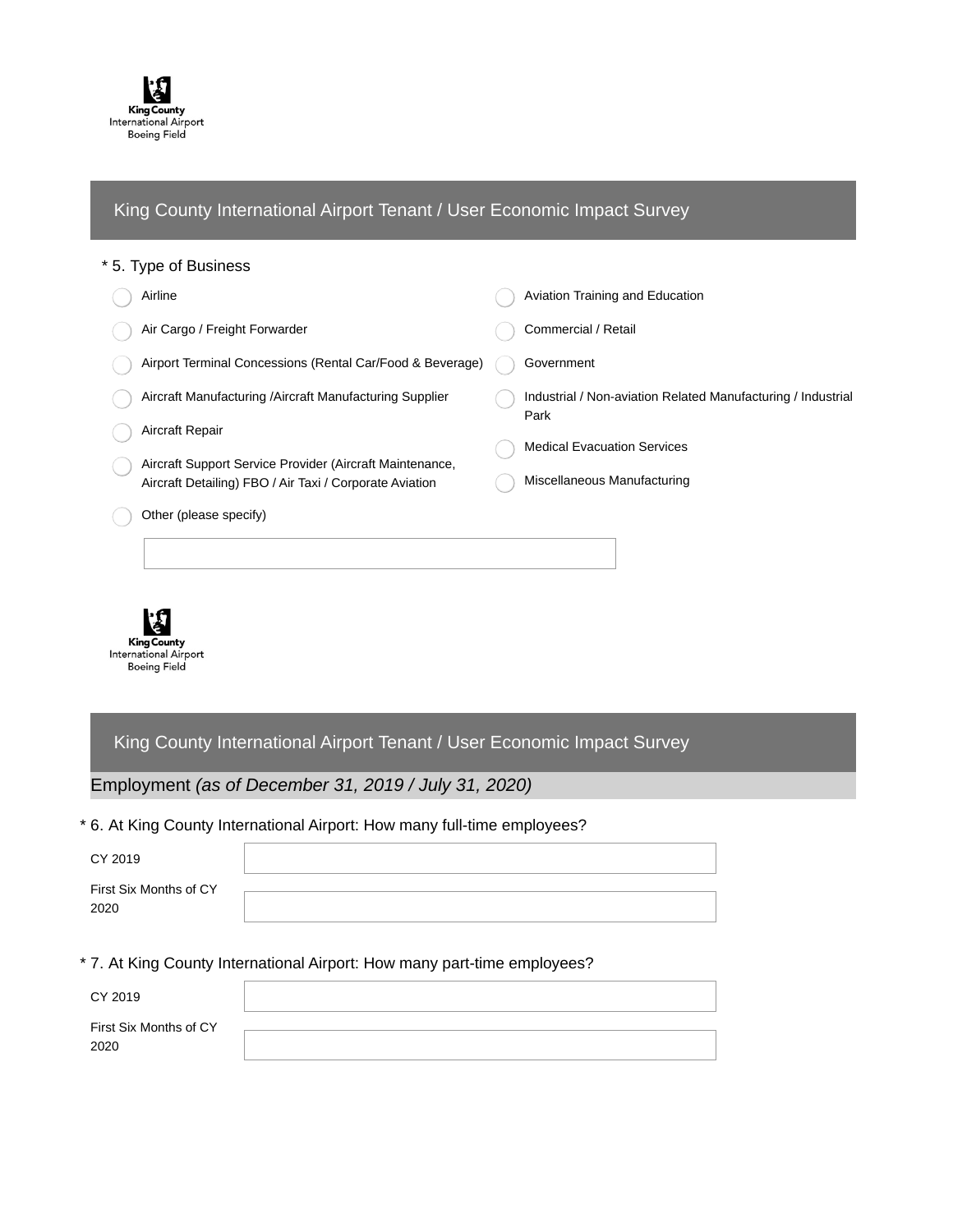

## King County International Airport Tenant / User Economic Impact Survey

#### \* 5. Type of Business

| Airline                                                                                                             | Aviation Training and Education                              |
|---------------------------------------------------------------------------------------------------------------------|--------------------------------------------------------------|
| Air Cargo / Freight Forwarder                                                                                       | Commercial / Retail                                          |
| Airport Terminal Concessions (Rental Car/Food & Beverage)                                                           | Government                                                   |
| Aircraft Manufacturing / Aircraft Manufacturing Supplier                                                            | Industrial / Non-aviation Related Manufacturing / Industrial |
| Aircraft Repair                                                                                                     | Park<br><b>Medical Evacuation Services</b>                   |
| Aircraft Support Service Provider (Aircraft Maintenance,<br>Aircraft Detailing) FBO / Air Taxi / Corporate Aviation | Miscellaneous Manufacturing                                  |
| Other (please specify)                                                                                              |                                                              |
|                                                                                                                     |                                                              |
|                                                                                                                     |                                                              |



King County International Airport Tenant / User Economic Impact Survey

Employment *(as of December 31, 2019 / July 31, 2020)*

\* 6. At King County International Airport: How many full-time employees?

| CY 2019                        |  |
|--------------------------------|--|
| First Six Months of CY<br>2020 |  |

\* 7. At King County International Airport: How many part-time employees?

| CY 2019                        |  |
|--------------------------------|--|
| First Six Months of CY<br>2020 |  |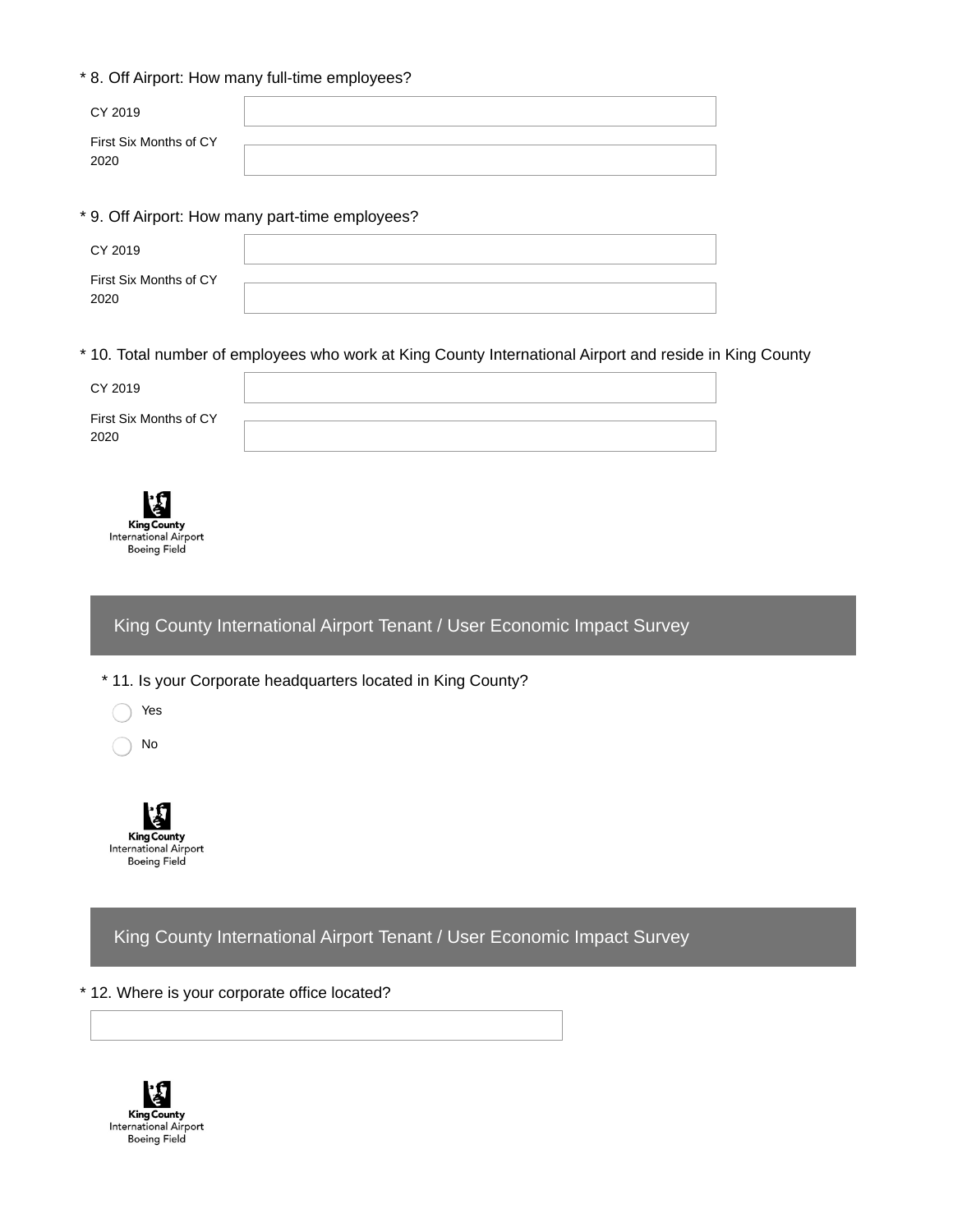## \* 8. Off Airport: How many full-time employees?

| CY 2019                        |  |
|--------------------------------|--|
| First Six Months of CY<br>2020 |  |

\* 9. Off Airport: How many part-time employees?

| CY 2019                        |  |
|--------------------------------|--|
| First Six Months of CY<br>2020 |  |
|                                |  |

\* 10. Total number of employees who work at King County International Airport and reside in King County

| CY 2019                        |  |
|--------------------------------|--|
| First Six Months of CY<br>2020 |  |

**King County International Airport Boeing Field** 

King County International Airport Tenant / User Economic Impact Survey

\* 11. Is your Corporate headquarters located in King County?



No



King County International Airport Tenant / User Economic Impact Survey

## \* 12. Where is your corporate office located?

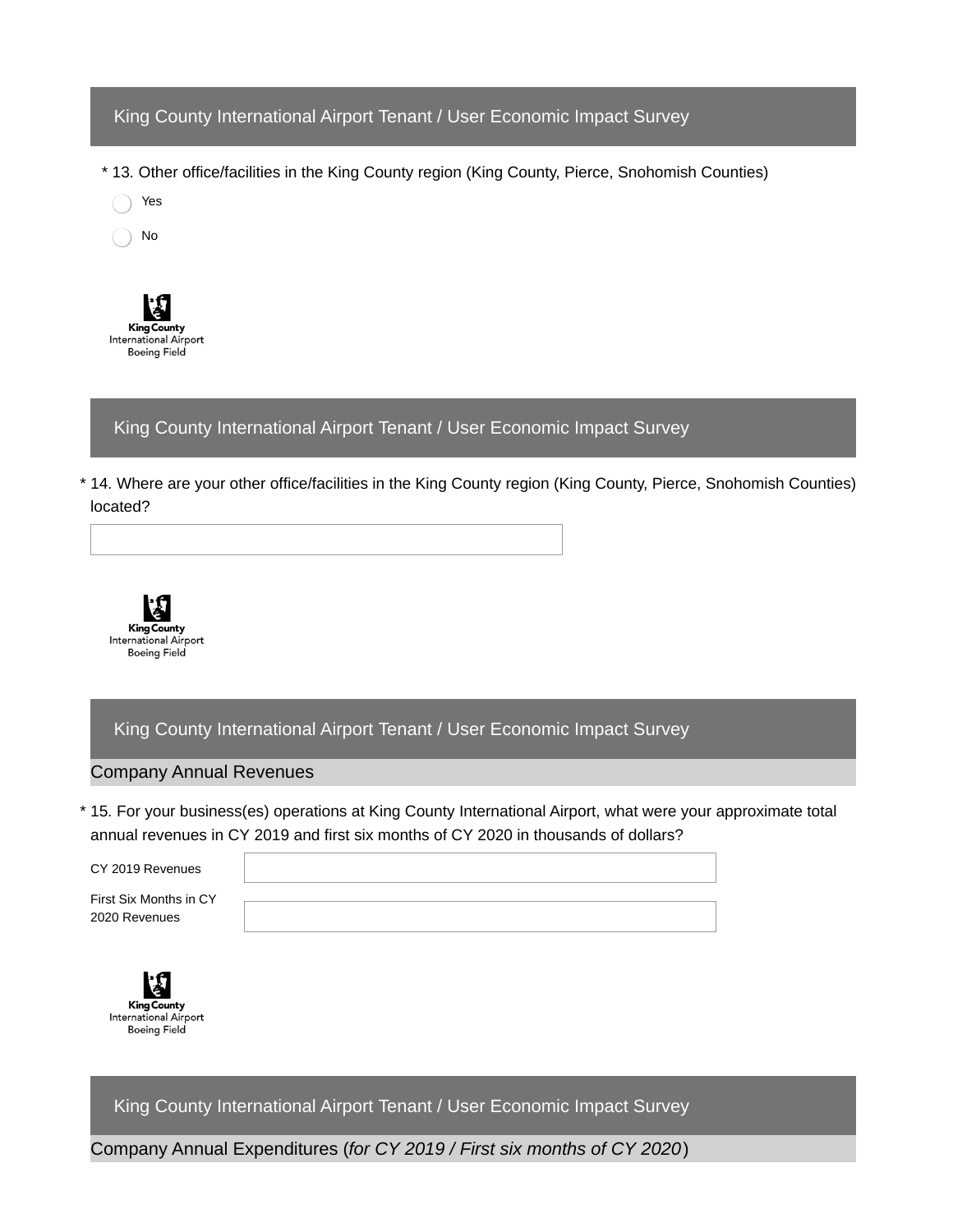## King County International Airport Tenant / User Economic Impact Survey

\* 13. Other office/facilities in the King County region (King County, Pierce, Snohomish Counties)

Yes

No



## King County International Airport Tenant / User Economic Impact Survey

14. Where are your other office/facilities in the King County region (King County, Pierce, Snohomish Counties) \* located?



King County International Airport Tenant / User Economic Impact Survey

#### Company Annual Revenues

15. For your business(es) operations at King County International Airport, what were your approximate total \* annual revenues in CY 2019 and first six months of CY 2020 in thousands of dollars?

CY 2019 Revenues

First Six Months in CY 2020 Revenues





King County International Airport Tenant / User Economic Impact Survey

Company Annual Expenditures (*for CY 2019 / First six months of CY 2020*)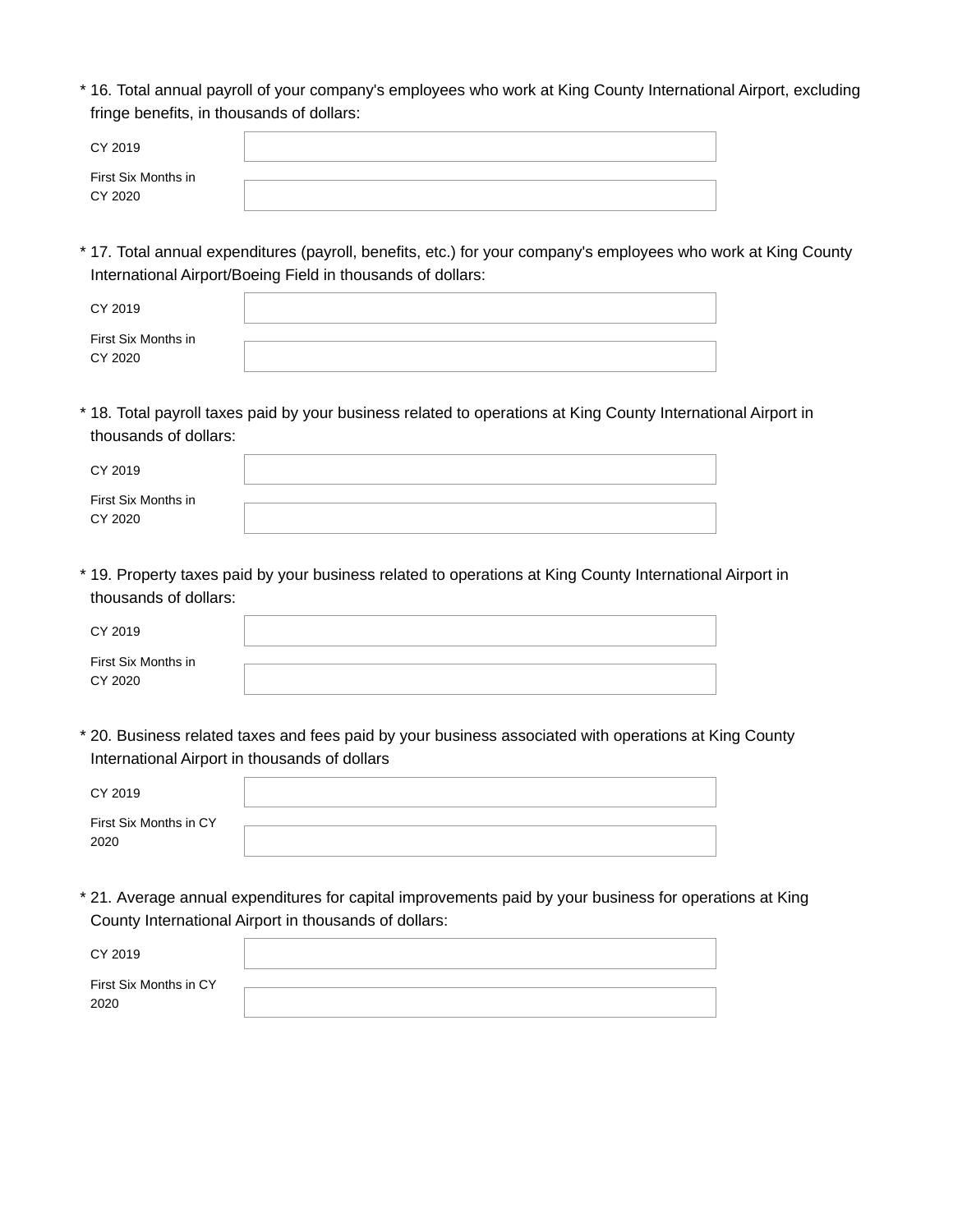16. Total annual payroll of your company's employees who work at King County International Airport, excluding \* fringe benefits, in thousands of dollars:

| CY 2019                        |  |
|--------------------------------|--|
| First Six Months in<br>CY 2020 |  |

17. Total annual expenditures (payroll, benefits, etc.) for your company's employees who work at King County \* International Airport/Boeing Field in thousands of dollars:

| CY 2019             |  |  |
|---------------------|--|--|
| First Six Months in |  |  |
| CY 2020             |  |  |

18. Total payroll taxes paid by your business related to operations at King County International Airport in \* thousands of dollars:

| CY 2019                        |  |
|--------------------------------|--|
| First Six Months in<br>CY 2020 |  |

19. Property taxes paid by your business related to operations at King County International Airport in \* thousands of dollars:

| CY 2019                        |  |
|--------------------------------|--|
| First Six Months in<br>CY 2020 |  |

20. Business related taxes and fees paid by your business associated with operations at King County \* International Airport in thousands of dollars

| CY 2019                        |  |
|--------------------------------|--|
| First Six Months in CY<br>2020 |  |

21. Average annual expenditures for capital improvements paid by your business for operations at King \*County International Airport in thousands of dollars:

| CY 2019                        |  |
|--------------------------------|--|
| First Six Months in CY<br>2020 |  |